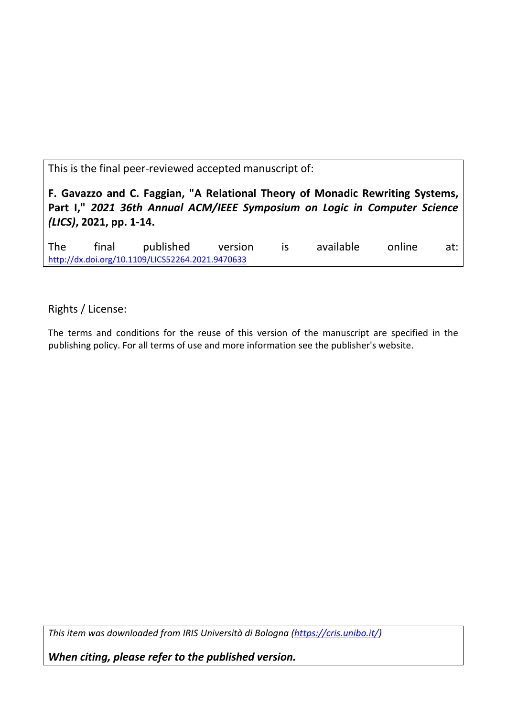This is the final peer-reviewed accepted manuscript of:

**F. Gavazzo and C. Faggian, "A Relational Theory of Monadic Rewriting Systems, Part I,"** *2021 36th Annual ACM/IEEE Symposium on Logic in Computer Science (LICS)***, 2021, pp. 1-14.**

The final published version is available online at: [http://dx.doi.org/10.1109/LICS52264.2021.9470633](http://dx.doi.org/10.1109%2FLICS52264.2021.9470633)

Rights / License:

The terms and conditions for the reuse of this version of the manuscript are specified in the publishing policy. For all terms of use and more information see the publisher's website.

*This item was downloaded from IRIS Università di Bologna [\(https://cris.unibo.it/\)](https://cris.unibo.it/)*

*When citing, please refer to the published version.*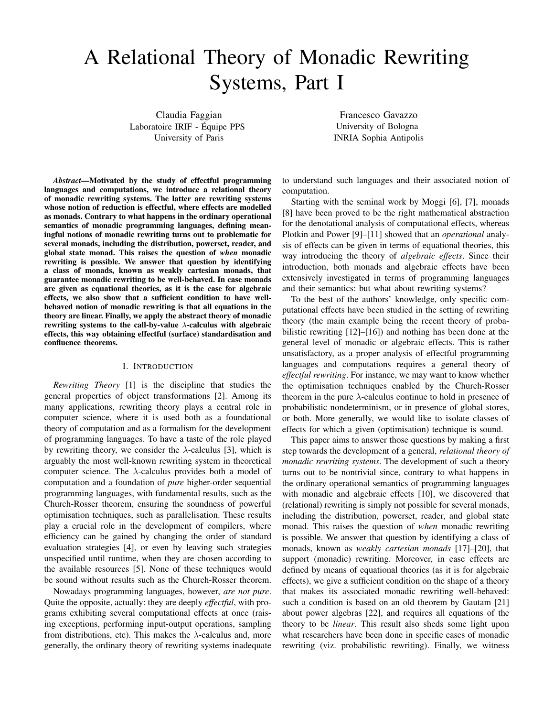# A Relational Theory of Monadic Rewriting Systems, Part I

Claudia Faggian Laboratoire IRIF - Equipe PPS ´ University of Paris

Francesco Gavazzo University of Bologna INRIA Sophia Antipolis

*Abstract*—Motivated by the study of effectful programming languages and computations, we introduce a relational theory of monadic rewriting systems. The latter are rewriting systems whose notion of reduction is effectful, where effects are modelled as monads. Contrary to what happens in the ordinary operational semantics of monadic programming languages, defining meaningful notions of monadic rewriting turns out to problematic for several monads, including the distribution, powerset, reader, and global state monad. This raises the question of *when* monadic rewriting is possible. We answer that question by identifying a class of monads, known as weakly cartesian monads, that guarantee monadic rewriting to be well-behaved. In case monads are given as equational theories, as it is the case for algebraic effects, we also show that a sufficient condition to have wellbehaved notion of monadic rewriting is that all equations in the theory are linear. Finally, we apply the abstract theory of monadic rewriting systems to the call-by-value  $\lambda$ -calculus with algebraic effects, this way obtaining effectful (surface) standardisation and confluence theorems.

## I. INTRODUCTION

*Rewriting Theory* [1] is the discipline that studies the general properties of object transformations [2]. Among its many applications, rewriting theory plays a central role in computer science, where it is used both as a foundational theory of computation and as a formalism for the development of programming languages. To have a taste of the role played by rewriting theory, we consider the  $\lambda$ -calculus [3], which is arguably the most well-known rewriting system in theoretical computer science. The  $\lambda$ -calculus provides both a model of computation and a foundation of *pure* higher-order sequential programming languages, with fundamental results, such as the Church-Rosser theorem, ensuring the soundness of powerful optimisation techniques, such as parallelisation. These results play a crucial role in the development of compilers, where efficiency can be gained by changing the order of standard evaluation strategies [4], or even by leaving such strategies unspecified until runtime, when they are chosen according to the available resources [5]. None of these techniques would be sound without results such as the Church-Rosser theorem.

Nowadays programming languages, however, *are not pure*. Quite the opposite, actually: they are deeply *effectful*, with programs exhibiting several computational effects at once (raising exceptions, performing input-output operations, sampling from distributions, etc). This makes the  $\lambda$ -calculus and, more generally, the ordinary theory of rewriting systems inadequate to understand such languages and their associated notion of computation.

Starting with the seminal work by Moggi [6], [7], monads [8] have been proved to be the right mathematical abstraction for the denotational analysis of computational effects, whereas Plotkin and Power [9]–[11] showed that an *operational* analysis of effects can be given in terms of equational theories, this way introducing the theory of *algebraic effects*. Since their introduction, both monads and algebraic effects have been extensively investigated in terms of programming languages and their semantics: but what about rewriting systems?

To the best of the authors' knowledge, only specific computational effects have been studied in the setting of rewriting theory (the main example being the recent theory of probabilistic rewriting [12]–[16]) and nothing has been done at the general level of monadic or algebraic effects. This is rather unsatisfactory, as a proper analysis of effectful programming languages and computations requires a general theory of *effectful rewriting*. For instance, we may want to know whether the optimisation techniques enabled by the Church-Rosser theorem in the pure  $\lambda$ -calculus continue to hold in presence of probabilistic nondeterminism, or in presence of global stores, or both. More generally, we would like to isolate classes of effects for which a given (optimisation) technique is sound.

This paper aims to answer those questions by making a first step towards the development of a general, *relational theory of monadic rewriting systems*. The development of such a theory turns out to be nontrivial since, contrary to what happens in the ordinary operational semantics of programming languages with monadic and algebraic effects [10], we discovered that (relational) rewriting is simply not possible for several monads, including the distribution, powerset, reader, and global state monad. This raises the question of *when* monadic rewriting is possible. We answer that question by identifying a class of monads, known as *weakly cartesian monads* [17]–[20], that support (monadic) rewriting. Moreover, in case effects are defined by means of equational theories (as it is for algebraic effects), we give a sufficient condition on the shape of a theory that makes its associated monadic rewriting well-behaved: such a condition is based on an old theorem by Gautam [21] about power algebras [22], and requires all equations of the theory to be *linear*. This result also sheds some light upon what researchers have been done in specific cases of monadic rewriting (viz. probabilistic rewriting). Finally, we witness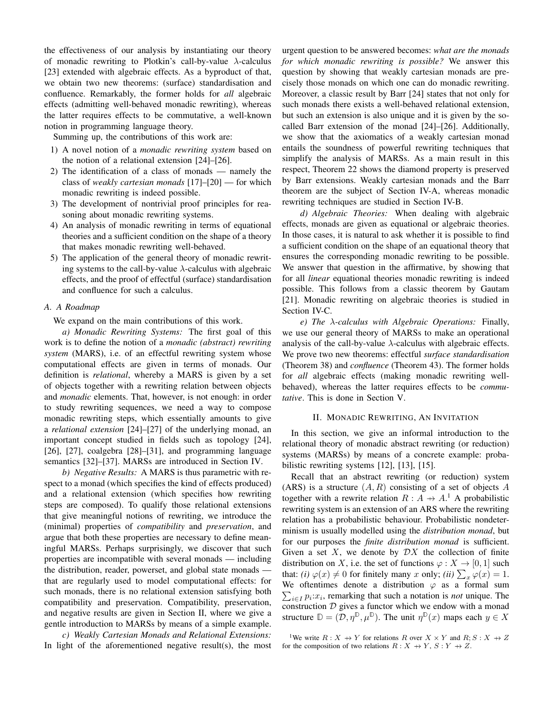the effectiveness of our analysis by instantiating our theory of monadic rewriting to Plotkin's call-by-value  $\lambda$ -calculus [23] extended with algebraic effects. As a byproduct of that, we obtain two new theorems: (surface) standardisation and confluence. Remarkably, the former holds for *all* algebraic effects (admitting well-behaved monadic rewriting), whereas the latter requires effects to be commutative, a well-known notion in programming language theory.

Summing up, the contributions of this work are:

- 1) A novel notion of a *monadic rewriting system* based on the notion of a relational extension [24]–[26].
- 2) The identification of a class of monads namely the class of *weakly cartesian monads* [17]–[20] — for which monadic rewriting is indeed possible.
- 3) The development of nontrivial proof principles for reasoning about monadic rewriting systems.
- 4) An analysis of monadic rewriting in terms of equational theories and a sufficient condition on the shape of a theory that makes monadic rewriting well-behaved.
- 5) The application of the general theory of monadic rewriting systems to the call-by-value  $\lambda$ -calculus with algebraic effects, and the proof of effectful (surface) standardisation and confluence for such a calculus.

## *A. A Roadmap*

We expand on the main contributions of this work.

*a) Monadic Rewriting Systems:* The first goal of this work is to define the notion of a *monadic (abstract) rewriting system* (MARS), i.e. of an effectful rewriting system whose computational effects are given in terms of monads. Our definition is *relational*, whereby a MARS is given by a set of objects together with a rewriting relation between objects and *monadic* elements. That, however, is not enough: in order to study rewriting sequences, we need a way to compose monadic rewriting steps, which essentially amounts to give a *relational extension* [24]–[27] of the underlying monad, an important concept studied in fields such as topology [24], [26], [27], coalgebra [28]–[31], and programming language semantics [32]–[37]. MARSs are introduced in Section IV.

*b) Negative Results:* A MARS is thus parametric with respect to a monad (which specifies the kind of effects produced) and a relational extension (which specifies how rewriting steps are composed). To qualify those relational extensions that give meaningful notions of rewriting, we introduce the (minimal) properties of *compatibility* and *preservation*, and argue that both these properties are necessary to define meaningful MARSs. Perhaps surprisingly, we discover that such properties are incompatible with several monads — including the distribution, reader, powerset, and global state monads that are regularly used to model computational effects: for such monads, there is no relational extension satisfying both compatibility and preservation. Compatibility, preservation, and negative results are given in Section II, where we give a gentle introduction to MARSs by means of a simple example.

*c) Weakly Cartesian Monads and Relational Extensions:* In light of the aforementioned negative result(s), the most

urgent question to be answered becomes: *what are the monads for which monadic rewriting is possible?* We answer this question by showing that weakly cartesian monads are precisely those monads on which one can do monadic rewriting. Moreover, a classic result by Barr [24] states that not only for such monads there exists a well-behaved relational extension, but such an extension is also unique and it is given by the socalled Barr extension of the monad [24]–[26]. Additionally, we show that the axiomatics of a weakly cartesian monad entails the soundness of powerful rewriting techniques that simplify the analysis of MARSs. As a main result in this respect, Theorem 22 shows the diamond property is preserved by Barr extensions. Weakly cartesian monads and the Barr theorem are the subject of Section IV-A, whereas monadic rewriting techniques are studied in Section IV-B.

*d) Algebraic Theories:* When dealing with algebraic effects, monads are given as equational or algebraic theories. In those cases, it is natural to ask whether it is possible to find a sufficient condition on the shape of an equational theory that ensures the corresponding monadic rewriting to be possible. We answer that question in the affirmative, by showing that for all *linear* equational theories monadic rewriting is indeed possible. This follows from a classic theorem by Gautam [21]. Monadic rewriting on algebraic theories is studied in Section IV-C.

*e) The* λ*-calculus with Algebraic Operations:* Finally, we use our general theory of MARSs to make an operational analysis of the call-by-value  $\lambda$ -calculus with algebraic effects. We prove two new theorems: effectful *surface standardisation* (Theorem 38) and *confluence* (Theorem 43). The former holds for *all* algebraic effects (making monadic rewriting wellbehaved), whereas the latter requires effects to be *commutative*. This is done in Section V.

## II. MONADIC REWRITING, AN INVITATION

In this section, we give an informal introduction to the relational theory of monadic abstract rewriting (or reduction) systems (MARSs) by means of a concrete example: probabilistic rewriting systems [12], [13], [15].

Recall that an abstract rewriting (or reduction) system (ARS) is a structure  $(A, R)$  consisting of a set of objects A together with a rewrite relation  $R: A \rightarrow A$ <sup>1</sup> A probabilistic rewriting system is an extension of an ARS where the rewriting relation has a probabilistic behaviour. Probabilistic nondeterminism is usually modelled using the *distribution monad*, but for our purposes the *finite distribution monad* is sufficient. Given a set X, we denote by  $\mathcal{D}X$  the collection of finite distribution on X, i.e. the set of functions  $\varphi: X \to [0, 1]$  such that: *(i)*  $\varphi(x) \neq 0$  for finitely many x only; *(ii)*  $\sum_{x} \varphi(x) = 1$ . We oftentimes denote a distribution  $\varphi$  as a formal sum  $\sum_{i \in I} p_i$ : $x_i$ , remarking that such a notation is *not* unique. The construction  $D$  gives a functor which we endow with a monad structure  $\mathbb{D} = (\mathcal{D}, \eta^{\mathbb{D}}, \mu^{\mathbb{D}})$ . The unit  $\eta^{\mathbb{D}}(x)$  maps each  $y \in X$ 

<sup>1</sup>We write  $R: X \rightarrow Y$  for relations R over  $X \times Y$  and  $R: S: X \rightarrow Z$ for the composition of two relations  $R : X \rightarrow Y$ ,  $S : Y \rightarrow Z$ .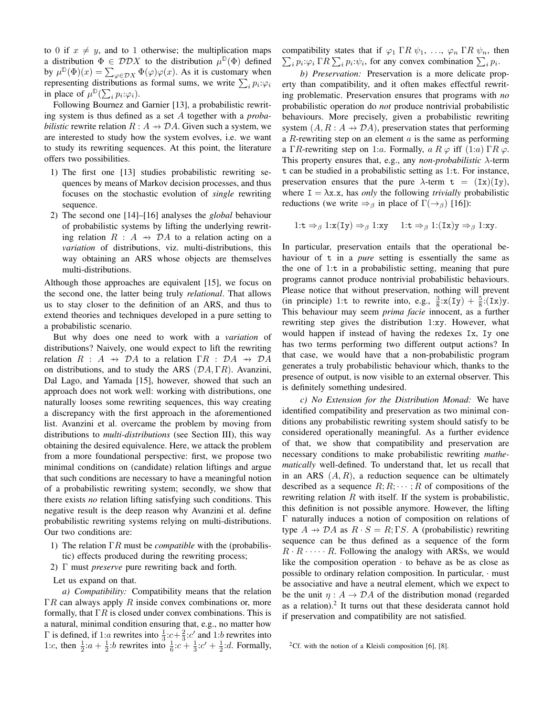to 0 if  $x \neq y$ , and to 1 otherwise; the multiplication maps a distribution  $\Phi \in \mathcal{D} \mathcal{D} X$  to the distribution  $\mu^{\mathbb{D}}(\Phi)$  defined by  $\mu^{\mathbb{D}}(\Phi)(x) = \sum_{\varphi \in \mathcal{D}X} \Phi(\varphi)\varphi(x)$ . As it is customary when representing distributions as formal sums, we write  $\sum_i p_i \varphi_i$ in place of  $\mu^{\mathbb{D}}(\sum_{i} p_i : \varphi_i)$ .

Following Bournez and Garnier [13], a probabilistic rewriting system is thus defined as a set A together with a *probabilistic* rewrite relation  $R : A \rightarrow DA$ . Given such a system, we are interested to study how the system evolves, i.e. we want to study its rewriting sequences. At this point, the literature offers two possibilities.

- 1) The first one [13] studies probabilistic rewriting sequences by means of Markov decision processes, and thus focuses on the stochastic evolution of *single* rewriting sequence.
- 2) The second one [14]–[16] analyses the *global* behaviour of probabilistic systems by lifting the underlying rewriting relation  $R : A \rightarrow \mathcal{D}A$  to a relation acting on a *variation* of distributions, viz. multi-distributions, this way obtaining an ARS whose objects are themselves multi-distributions.

Although those approaches are equivalent [15], we focus on the second one, the latter being truly *relational*. That allows us to stay closer to the definition of an ARS, and thus to extend theories and techniques developed in a pure setting to a probabilistic scenario.

But why does one need to work with a *variation* of distributions? Naively, one would expect to lift the rewriting relation  $R : A \rightarrow \mathcal{D}A$  to a relation  $\Gamma R : \mathcal{D}A \rightarrow \mathcal{D}A$ on distributions, and to study the ARS  $(DA, \Gamma R)$ . Avanzini, Dal Lago, and Yamada [15], however, showed that such an approach does not work well: working with distributions, one naturally looses some rewriting sequences, this way creating a discrepancy with the first approach in the aforementioned list. Avanzini et al. overcame the problem by moving from distributions to *multi-distributions* (see Section III), this way obtaining the desired equivalence. Here, we attack the problem from a more foundational perspective: first, we propose two minimal conditions on (candidate) relation liftings and argue that such conditions are necessary to have a meaningful notion of a probabilistic rewriting system; secondly, we show that there exists *no* relation lifting satisfying such conditions. This negative result is the deep reason why Avanzini et al. define probabilistic rewriting systems relying on multi-distributions. Our two conditions are:

- 1) The relation ΓR must be *compatible* with the (probabilistic) effects produced during the rewriting process;
- 2) Γ must *preserve* pure rewriting back and forth.
- Let us expand on that.

*a) Compatibility:* Compatibility means that the relation  $\Gamma R$  can always apply R inside convex combinations or, more formally, that  $\Gamma R$  is closed under convex combinations. This is a natural, minimal condition ensuring that, e.g., no matter how  $Γ$  is defined, if 1:*a* rewrites into  $\frac{1}{3}$ :*c* +  $\frac{2}{3}$ :*c'* and 1:*b* rewrites into 1:c, then  $\frac{1}{2}$ :a +  $\frac{1}{2}$ :b rewrites into  $\frac{1}{6}$ :c +  $\frac{1}{3}$ :c' +  $\frac{1}{2}$ :d. Formally, compatibility states that if  $\varphi_1 \Gamma R \psi_1, \ldots, \varphi_n \Gamma R \psi_n$ , then  $\sum_i p_i \varphi_i \Gamma R \sum_i p_i \varphi_i$ , for any convex combination  $\sum_i p_i$ .

*b) Preservation:* Preservation is a more delicate property than compatibility, and it often makes effectful rewriting problematic. Preservation ensures that programs with *no* probabilistic operation do *not* produce nontrivial probabilistic behaviours. More precisely, given a probabilistic rewriting system  $(A, R : A \rightarrow \mathcal{D}A)$ , preservation states that performing a R-rewriting step on an element  $\alpha$  is the same as performing a ΓR-rewriting step on 1:a. Formally,  $a R \varphi$  iff  $(1:a) \Gamma R \varphi$ . This property ensures that, e.g., any *non-probabilistic* λ-term t can be studied in a probabilistic setting as 1:t. For instance, preservation ensures that the pure  $\lambda$ -term  $t = (Ix)(Iy)$ , where  $I = \lambda x.x$ , has *only* the following *trivially* probabilistic reductions (we write  $\Rightarrow$ <sub>β</sub> in place of  $\Gamma(\rightarrow$ <sub>β</sub>) [16]):

1:t  $\Rightarrow_{\beta} 1:x(Iy) \Rightarrow_{\beta} 1:xy \quad 1:t \Rightarrow_{\beta} 1:(Ix)y \Rightarrow_{\beta} 1:xy.$ 

In particular, preservation entails that the operational behaviour of t in a *pure* setting is essentially the same as the one of 1:t in a probabilistic setting, meaning that pure programs cannot produce nontrivial probabilistic behaviours. Please notice that without preservation, nothing will prevent (in principle) 1:t to rewrite into, e.g.,  $\frac{3}{8}$ : $x(Iy) + \frac{5}{8}$ : $(Ix)y$ . This behaviour may seem *prima facie* innocent, as a further rewriting step gives the distribution 1:xy. However, what would happen if instead of having the redexes Ix, Iy one has two terms performing two different output actions? In that case, we would have that a non-probabilistic program generates a truly probabilistic behaviour which, thanks to the presence of output, is now visible to an external observer. This is definitely something undesired.

*c) No Extension for the Distribution Monad:* We have identified compatibility and preservation as two minimal conditions any probabilistic rewriting system should satisfy to be considered operationally meaningful. As a further evidence of that, we show that compatibility and preservation are necessary conditions to make probabilistic rewriting *mathematically* well-defined. To understand that, let us recall that in an ARS  $(A, R)$ , a reduction sequence can be ultimately described as a sequence  $R; R; \dots; R$  of compositions of the rewriting relation  $R$  with itself. If the system is probabilistic, this definition is not possible anymore. However, the lifting Γ naturally induces a notion of composition on relations of type  $A \rightarrow DA$  as  $R \cdot S = R$ ; ΓS. A (probabilistic) rewriting sequence can be thus defined as a sequence of the form  $R \cdot R \cdot \cdots \cdot R$ . Following the analogy with ARSs, we would like the composition operation  $\cdot$  to behave as be as close as possible to ordinary relation composition. In particular, · must be associative and have a neutral element, which we expect to be the unit  $\eta: A \to \mathcal{D}A$  of the distribution monad (regarded as a relation).<sup>2</sup> It turns out that these desiderata cannot hold if preservation and compatibility are not satisfied.

<sup>&</sup>lt;sup>2</sup>Cf. with the notion of a Kleisli composition [6], [8].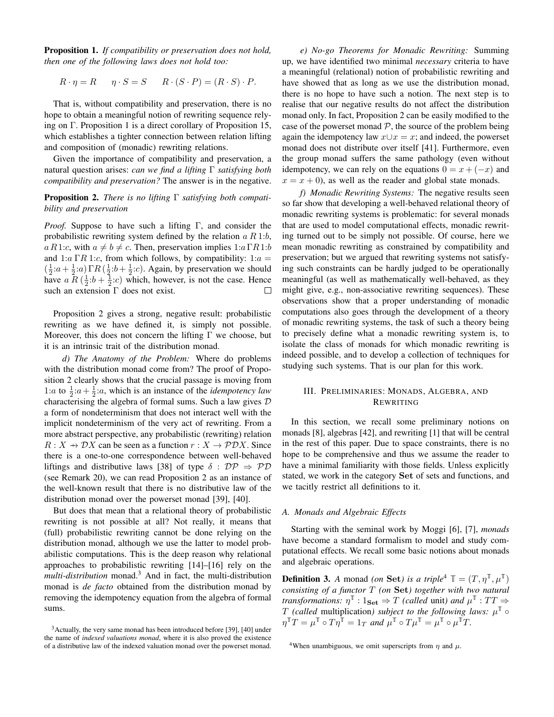Proposition 1. *If compatibility or preservation does not hold, then one of the following laws does not hold too:*

$$
R \cdot \eta = R \qquad \eta \cdot S = S \qquad R \cdot (S \cdot P) = (R \cdot S) \cdot P.
$$

That is, without compatibility and preservation, there is no hope to obtain a meaningful notion of rewriting sequence relying on Γ. Proposition 1 is a direct corollary of Proposition 15, which establishes a tighter connection between relation lifting and composition of (monadic) rewriting relations.

Given the importance of compatibility and preservation, a natural question arises: *can we find a lifting* Γ *satisfying both compatibility and preservation?* The answer is in the negative.

Proposition 2. *There is no lifting* Γ *satisfying both compatibility and preservation*

*Proof.* Suppose to have such a lifting Γ, and consider the probabilistic rewriting system defined by the relation  $a R 1:b$ , a R1:c, with  $a \neq b \neq c$ . Then, preservation implies  $1:a \Gamma R1:b$ and 1:a  $\Gamma R$  1:c, from which follows, by compatibility: 1:a =  $(\frac{1}{2}$ : $a+\frac{1}{2}$ : $a)$   $\Gamma R$  ( $\frac{1}{2}$ : $b+\frac{1}{2}$ : $c)$ . Again, by preservation we should have  $a \overline{R}(\frac{1}{2}b + \frac{1}{2}c)$  which, however, is not the case. Hence such an extension Γ does not exist.  $\Box$ 

Proposition 2 gives a strong, negative result: probabilistic rewriting as we have defined it, is simply not possible. Moreover, this does not concern the lifting  $\Gamma$  we choose, but it is an intrinsic trait of the distribution monad.

*d) The Anatomy of the Problem:* Where do problems with the distribution monad come from? The proof of Proposition 2 clearly shows that the crucial passage is moving from 1:*a* to  $\frac{1}{2}$ :*a* +  $\frac{1}{2}$ :*a*, which is an instance of the *idempotency law* characterising the algebra of formal sums. Such a law gives  $D$ a form of nondeterminism that does not interact well with the implicit nondeterminism of the very act of rewriting. From a more abstract perspective, any probabilistic (rewriting) relation  $R: X \to \mathcal{D}X$  can be seen as a function  $r: X \to \mathcal{P} \mathcal{D}X$ . Since there is a one-to-one correspondence between well-behaved liftings and distributive laws [38] of type  $\delta : \mathcal{DP} \Rightarrow \mathcal{PD}$ (see Remark 20), we can read Proposition 2 as an instance of the well-known result that there is no distributive law of the distribution monad over the powerset monad [39], [40].

But does that mean that a relational theory of probabilistic rewriting is not possible at all? Not really, it means that (full) probabilistic rewriting cannot be done relying on the distribution monad, although we use the latter to model probabilistic computations. This is the deep reason why relational approaches to probabilistic rewriting [14]–[16] rely on the *multi-distribution* monad.<sup>3</sup> And in fact, the multi-distribution monad is *de facto* obtained from the distribution monad by removing the idempotency equation from the algebra of formal sums.

*e) No-go Theorems for Monadic Rewriting:* Summing up, we have identified two minimal *necessary* criteria to have a meaningful (relational) notion of probabilistic rewriting and have showed that as long as we use the distribution monad, there is no hope to have such a notion. The next step is to realise that our negative results do not affect the distribution monad only. In fact, Proposition 2 can be easily modified to the case of the powerset monad  $P$ , the source of the problem being again the idempotency law  $x \cup x = x$ ; and indeed, the powerset monad does not distribute over itself [41]. Furthermore, even the group monad suffers the same pathology (even without idempotency, we can rely on the equations  $0 = x + (-x)$  and  $x = x + 0$ , as well as the reader and global state monads.

*f) Monadic Rewriting Systems:* The negative results seen so far show that developing a well-behaved relational theory of monadic rewriting systems is problematic: for several monads that are used to model computational effects, monadic rewriting turned out to be simply not possible. Of course, here we mean monadic rewriting as constrained by compatibility and preservation; but we argued that rewriting systems not satisfying such constraints can be hardly judged to be operationally meaningful (as well as mathematically well-behaved, as they might give, e.g., non-associative rewriting sequences). These observations show that a proper understanding of monadic computations also goes through the development of a theory of monadic rewriting systems, the task of such a theory being to precisely define what a monadic rewriting system is, to isolate the class of monads for which monadic rewriting is indeed possible, and to develop a collection of techniques for studying such systems. That is our plan for this work.

## III. PRELIMINARIES: MONADS, ALGEBRA, AND REWRITING

In this section, we recall some preliminary notions on monads [8], algebras [42], and rewriting [1] that will be central in the rest of this paper. Due to space constraints, there is no hope to be comprehensive and thus we assume the reader to have a minimal familiarity with those fields. Unless explicitly stated, we work in the category Set of sets and functions, and we tacitly restrict all definitions to it.

## *A. Monads and Algebraic Effects*

Starting with the seminal work by Moggi [6], [7], *monads* have become a standard formalism to model and study computational effects. We recall some basic notions about monads and algebraic operations.

**Definition 3.** A monad *(on* Set*)* is a triple<sup>4</sup>  $\mathbb{T} = (T, \eta^{\mathbb{T}}, \mu^{\mathbb{T}})$ *consisting of a functor* T *(on* Set*) together with two natural transformations:*  $\eta^{\mathbb{T}}$  :  $1_{\mathbf{Set}} \Rightarrow T$  *(called unit) and*  $\mu^{\mathbb{T}}$  :  $TT \Rightarrow$ T *(called* multiplication*)* subject to the following laws:  $\mu^{\mathbb{T}}$   $\circ$  $\eta^{\mathbb{T}} T = \mu^{\mathbb{T}} \circ T \eta^{\mathbb{T}} = 1_T$  and  $\mu^{\mathbb{T}} \circ T \mu^{\mathbb{T}} = \mu^{\mathbb{T}} \circ \mu^{\mathbb{T}} T$ .

<sup>3</sup>Actually, the very same monad has been introduced before [39], [40] under the name of *indexed valuations monad*, where it is also proved the existence of a distributive law of the indexed valuation monad over the powerset monad.

<sup>&</sup>lt;sup>4</sup>When unambiguous, we omit superscripts from  $\eta$  and  $\mu$ .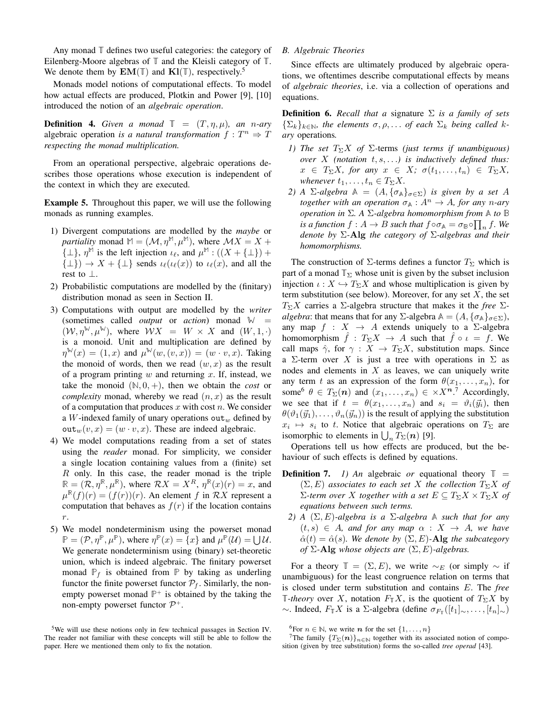Any monad **T** defines two useful categories: the category of Eilenberg-Moore algebras of **T** and the Kleisli category of **T**. We denote them by  $EM(T)$  and  $Kl(T)$ , respectively.<sup>5</sup>

Monads model notions of computational effects. To model how actual effects are produced, Plotkin and Power [9], [10] introduced the notion of an *algebraic operation*.

**Definition 4.** *Given a monad*  $\mathbb{T} = (T, \eta, \mu)$ *, an n-ary* algebraic operation *is a natural transformation*  $f: T^n \Rightarrow T$ *respecting the monad multiplication.*

From an operational perspective, algebraic operations describes those operations whose execution is independent of the context in which they are executed.

Example 5. Throughout this paper, we will use the following monads as running examples.

- 1) Divergent computations are modelled by the *maybe* or *partiality* monad  $M = (\mathcal{M}, \eta^M, \mu^M)$ , where  $\mathcal{M}X = X +$  $\{\perp\}, \eta^{\mathbb{M}}$  is the left injection  $\iota_{\ell}$ , and  $\mu^{\mathbb{M}} : ((X + {\perp}) +$  $\{\perp\}) \rightarrow X + \{\perp\}$  sends  $\iota_{\ell}(\iota_{\ell}(x))$  to  $\iota_{\ell}(x)$ , and all the rest to  $\perp$ .
- 2) Probabilistic computations are modelled by the (finitary) distribution monad as seen in Section II.
- 3) Computations with output are modelled by the *writer* (sometimes called *output* or *action*) monad  $\mathbb{W}$  =  $(W, \eta^{\mathbb{W}}, \mu^{\mathbb{W}})$ , where  $WX = W \times X$  and  $(W, 1, \cdot)$ is a monoid. Unit and multiplication are defined by  $\eta^{\mathbb{W}}(x) = (1, x)$  and  $\mu^{\mathbb{W}}(w, (v, x)) = (w \cdot v, x)$ . Taking the monoid of words, then we read  $(w, x)$  as the result of a program printing  $w$  and returning  $x$ . If, instead, we take the monoid  $(N, 0, +)$ , then we obtain the *cost* or *complexity* monad, whereby we read  $(n, x)$  as the result of a computation that produces  $x$  with cost  $n$ . We consider a W-indexed family of unary operations out $_w$  defined by  $\text{out}_{w}(v, x) = (w \cdot v, x)$ . These are indeed algebraic.
- 4) We model computations reading from a set of states using the *reader* monad. For simplicity, we consider a single location containing values from a (finite) set  $R$  only. In this case, the reader monad is the triple  $\mathbb{R} = (\mathcal{R}, \eta^{\mathbb{R}}, \mu^{\mathbb{R}})$ , where  $\mathcal{R}X = X^R$ ,  $\eta^{\mathbb{R}}(x)(r) = x$ , and  $\mu^{\mathbb{R}}(f)(r) = (f(r))(r)$ . An element f in RX represent a computation that behaves as  $f(r)$  if the location contains r.
- 5) We model nondeterminism using the powerset monad  $\mathbb{P} = (\mathcal{P}, \eta^{\mathbb{P}}, \mu^{\mathbb{P}})$ , where  $\eta^{\mathbb{P}}(x) = \{x\}$  and  $\mu^{\mathbb{P}}(\mathcal{U}) = \bigcup \mathcal{U}$ . We generate nondeterminism using (binary) set-theoretic union, which is indeed algebraic. The finitary powerset monad  $\mathbb{P}_f$  is obtained from  $\mathbb{P}$  by taking as underling functor the finite powerset functor  $P_f$ . Similarly, the nonempty powerset monad  $\mathbb{P}^+$  is obtained by the taking the non-empty powerset functor  $\mathcal{P}^+$ .

## *B. Algebraic Theories*

Since effects are ultimately produced by algebraic operations, we oftentimes describe computational effects by means of *algebraic theories*, i.e. via a collection of operations and equations.

Definition 6. *Recall that a* signature Σ *is a family of sets*  ${\{\Sigma_k\}}_{k\in\mathbb{N}}$ *, the elements*  $\sigma, \rho, \ldots$  *of each*  $\Sigma_k$  *being called* k*ary* operations*.*

- *1) The set*  $T_{\Sigma}X$  *of*  $\Sigma$ -terms *(just terms if unambiguous) over* X *(notation* t, s, . . .*) is inductively defined thus:*  $x \in T_{\Sigma}X$ *, for any*  $x \in X$ *;*  $\sigma(t_1, \ldots, t_n) \in T_{\Sigma}X$ *, whenever*  $t_1, \ldots, t_n \in T_{\Sigma}X$ .
- *2) A* Σ-*algebra*  $A = (A, {σ<sub>A</sub>}<sub>σ∈Σ</sub>)$  *is given by a set A together with an operation*  $\sigma_{\mathbb{A}} : A^n \to A$ *, for any n-ary operation in* Σ*. A* Σ*-algebra homomorphism from* **A** *to* **B** *is a function*  $f: A \rightarrow B$  *such that*  $f \circ \sigma_{\mathbb{A}} = \sigma_{\mathbb{B}} \circ \prod_n f$ . We *denote by* Σ*-*Alg *the category of* Σ*-algebras and their homomorphisms.*

The construction of  $\Sigma$ -terms defines a functor  $T_{\Sigma}$  which is part of a monad  $\mathbb{T}_{\Sigma}$  whose unit is given by the subset inclusion injection  $\iota : X \hookrightarrow T_{\Sigma}X$  and whose multiplication is given by term substitution (see below). Moreover, for any set  $X$ , the set T<sub>Σ</sub>X carries a Σ-algebra structure that makes it the *free* Σ*algebra*: that means that for any  $\Sigma$ -algebra  $\mathbb{A} = (A, \{\sigma_{\mathbb{A}}\}_{\sigma \in \Sigma})$ , any map  $f : X \rightarrow A$  extends uniquely to a  $\Sigma$ -algebra homomorphism  $\hat{f} : T_{\Sigma}X \to A$  such that  $\hat{f} \circ \iota = f$ . We call maps  $\hat{\gamma}$ , for  $\gamma : X \to T_{\Sigma}X$ , substitution maps. Since a Σ-term over X is just a tree with operations in  $\Sigma$  as nodes and elements in X as leaves, we can uniquely write any term t as an expression of the form  $\theta(x_1, \ldots, x_n)$ , for some<sup>6</sup>  $\theta \in T_{\Sigma}(n)$  and  $(x_1, \ldots, x_n) \in \times X^{n}$ .<sup>7</sup> Accordingly, we see that if  $t = \theta(x_1, \dots, x_n)$  and  $s_i = \theta(\vec{y}_i)$ , then  $\theta(\vartheta_1(\vec{y}_1), \dots, \vartheta_n(\vec{y}_n))$  is the result of applying the substitution  $x_i \mapsto s_i$  to t. Notice that algebraic operations on  $T_\Sigma$  are isomorphic to elements in  $\bigcup_n T_{\Sigma}(n)$  [9].

Operations tell us how effects are produced, but the behaviour of such effects is defined by equations.

- **Definition 7.** *1) An* algebraic *or* equational theory  $\mathbb{T}$  =  $(\Sigma, E)$  *associates to each set* X *the collection*  $T_{\Sigma} X$  *of*  $\Sigma$ *-term over* X *together with a set*  $E \subseteq T_{\Sigma}X \times T_{\Sigma}X$  *of equations between such terms.*
	- *2) A*  $(\Sigma, E)$ -algebra is a  $\Sigma$ -algebra  $\mathbb A$  *such that for any*  $(t, s) \in A$ *, and for any map*  $\alpha : X \rightarrow A$ *, we have*  $\hat{\alpha}(t) = \hat{\alpha}(s)$ *. We denote by*  $(\Sigma, E)$ -Alg the subcategory *of* Σ*-*Alg *whose objects are* (Σ, E)*-algebras.*

For a theory  $\mathbb{T} = (\Sigma, E)$ , we write ~<sub>E</sub> (or simply ~ if unambiguous) for the least congruence relation on terms that is closed under term substitution and contains E. The *free* **T***-theory* over X, notation  $F_{\mathbb{T}}X$ , is the quotient of  $T_{\Sigma}X$  by  $\sim$ . Indeed,  $F_{\mathbb{T}} X$  is a Σ-algebra (define  $\sigma_{F_{\mathbb{T}}}([t_1]_{\sim}, \ldots, [t_n]_{\sim})$ 

<sup>5</sup>We will use these notions only in few technical passages in Section IV. The reader not familiar with these concepts will still be able to follow the paper. Here we mentioned them only to fix the notation.

<sup>&</sup>lt;sup>6</sup>For  $n \in \mathbb{N}$ , we write **n** for the set  $\{1, \ldots, n\}$ 

<sup>&</sup>lt;sup>7</sup>The family  ${T_{\Sigma}(n)}_{n \in \mathbb{N}}$  together with its associated notion of composition (given by tree substitution) forms the so-called *tree operad* [43].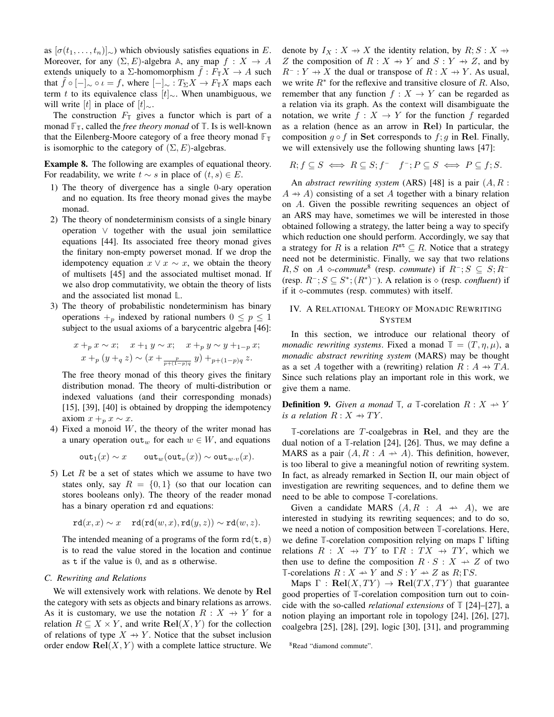as  $[\sigma(t_1, \ldots, t_n)]_{\sim}$ ) which obviously satisfies equations in E. Moreover, for any  $(\Sigma, E)$ -algebra A, any map  $f : X \to A$ extends uniquely to a  $\Sigma$ -homomorphism  $\hat{f}: F_{\mathbb{T}}X \to A$  such that  $\hat{f} \circ [-]_{\sim} \circ \iota = f$ , where  $[-]_{\sim} : T_{\Sigma}X \to F_{\mathbb{T}}X$  maps each term t to its equivalence class  $[t]_{\sim}$ . When unambiguous, we will write [t] in place of  $[t]_{\sim}$ .

The construction  $F_{\mathbb{T}}$  gives a functor which is part of a monad  $\mathbb{F}_{\mathbb{T}}$ , called the *free theory monad* of  $\mathbb{T}$ . Is is well-known that the Eilenberg-Moore category of a free theory monad  $\mathbb{F}_T$ is isomorphic to the category of  $(\Sigma, E)$ -algebras.

Example 8. The following are examples of equational theory. For readability, we write  $t \sim s$  in place of  $(t, s) \in E$ .

- 1) The theory of divergence has a single 0-ary operation and no equation. Its free theory monad gives the maybe monad.
- 2) The theory of nondeterminism consists of a single binary operation ∨ together with the usual join semilattice equations [44]. Its associated free theory monad gives the finitary non-empty powerset monad. If we drop the idempotency equation  $x \vee x \sim x$ , we obtain the theory of multisets [45] and the associated multiset monad. If we also drop commutativity, we obtain the theory of lists and the associated list monad **L**.
- 3) The theory of probabilistic nondeterminism has binary operations  $+_{p}$  indexed by rational numbers  $0 \leq p \leq 1$ subject to the usual axioms of a barycentric algebra [46]:

$$
x +_p x \sim x;
$$
  $x +_1 y \sim x;$   $x +_p y \sim y +_{1-p} x;$   
\n $x +_p (y +_q z) \sim (x + \frac{p}{p + (1-p)q} y) +_{p+(1-p)q} z.$ 

The free theory monad of this theory gives the finitary distribution monad. The theory of multi-distribution or indexed valuations (and their corresponding monads) [15], [39], [40] is obtained by dropping the idempotency axiom  $x +_p x \sim x$ .

4) Fixed a monoid  $W$ , the theory of the writer monad has a unary operation out<sub>w</sub> for each  $w \in W$ , and equations

$$
\mathtt{out}_1(x) \sim x \qquad \mathtt{out}_w(\mathtt{out}_v(x)) \sim \mathtt{out}_{w \cdot v}(x).
$$

5) Let  $R$  be a set of states which we assume to have two states only, say  $R = \{0, 1\}$  (so that our location can stores booleans only). The theory of the reader monad has a binary operation rd and equations:

$$
\mathtt{rd}(x,x) \sim x \quad \mathtt{rd}(\mathtt{rd}(w,x),\mathtt{rd}(y,z)) \sim \mathtt{rd}(w,z).
$$

The intended meaning of a programs of the form  $rd(t, s)$ is to read the value stored in the location and continue as t if the value is 0, and as s otherwise.

## *C. Rewriting and Relations*

We will extensively work with relations. We denote by Rel the category with sets as objects and binary relations as arrows. As it is customary, we use the notation  $R : X \rightarrow Y$  for a relation  $R \subseteq X \times Y$ , and write  $\text{Rel}(X, Y)$  for the collection of relations of type  $X \rightarrow Y$ . Notice that the subset inclusion order endow  $\text{Rel}(X, Y)$  with a complete lattice structure. We denote by  $I_X : X \to X$  the identity relation, by  $R; S : X \to Y$ Z the composition of  $R : X \rightarrow Y$  and  $S : Y \rightarrow Z$ , and by  $R^- : Y \to X$  the dual or transpose of  $R : X \to Y$ . As usual, we write  $R^*$  for the reflexive and transitive closure of R. Also, remember that any function  $f : X \to Y$  can be regarded as a relation via its graph. As the context will disambiguate the notation, we write  $f : X \to Y$  for the function f regarded as a relation (hence as an arrow in Rel) In particular, the composition  $q \circ f$  in Set corresponds to  $f$ ; q in Rel. Finally, we will extensively use the following shunting laws [47]:

$$
R; f \subseteq S \iff R \subseteq S; f^-\quad f^-; P \subseteq S \iff P \subseteq f; S.
$$

An *abstract rewriting system* (ARS) [48] is a pair (A, R :  $A \rightarrow A$ ) consisting of a set A together with a binary relation on A. Given the possible rewriting sequences an object of an ARS may have, sometimes we will be interested in those obtained following a strategy, the latter being a way to specify which reduction one should perform. Accordingly, we say that a strategy for R is a relation  $R^{\text{st}} \subseteq R$ . Notice that a strategy need not be deterministic. Finally, we say that two relations  $R, S$  on *A ◇-commute*<sup>8</sup> (resp. *commute*) if  $R^-$ ; *S* ⊆ *S*;  $R^-$ (resp.  $R^-; S \subseteq S^*; (R^*)^-$ ). A relation is  $\diamond$  (resp. *confluent*) if if it  $\diamond$ -commutes (resp. commutes) with itself.

# IV. A RELATIONAL THEORY OF MONADIC REWRITING **SYSTEM**

In this section, we introduce our relational theory of *monadic rewriting systems.* Fixed a monad  $\mathbb{T} = (T, \eta, \mu)$ , a *monadic abstract rewriting system* (MARS) may be thought as a set A together with a (rewriting) relation  $R : A \rightarrow TA$ . Since such relations play an important role in this work, we give them a name.

**Definition 9.** Given a monad  $\mathbb{T}$ , a  $\mathbb{T}$ -corelation  $R: X \rightarrow Y$ *is a relation*  $R: X \rightarrow TY$ .

**T**-corelations are T-coalgebras in Rel, and they are the dual notion of a **T**-relation [24], [26]. Thus, we may define a MARS as a pair  $(A, R : A \rightarrow A)$ . This definition, however, is too liberal to give a meaningful notion of rewriting system. In fact, as already remarked in Section II, our main object of investigation are rewriting sequences, and to define them we need to be able to compose **T**-corelations.

Given a candidate MARS  $(A, R : A \rightarrow A)$ , we are interested in studying its rewriting sequences; and to do so, we need a notion of composition between **T**-corelations. Here, we define **T**-corelation composition relying on maps Γ lifting relations  $R : X \rightarrow TY$  to  $\Gamma R : TX \rightarrow TY$ , which we then use to define the composition  $R \cdot S : X \rightarrow Z$  of two **T**-corelations  $R: X \to Y$  and  $S: Y \to Z$  as  $R: \Gamma S$ .

Maps  $\Gamma$  :  $\text{Rel}(X, TY) \rightarrow \text{Rel}(TX, TY)$  that guarantee good properties of **T**-corelation composition turn out to coincide with the so-called *relational extensions* of **T** [24]–[27], a notion playing an important role in topology [24], [26], [27], coalgebra [25], [28], [29], logic [30], [31], and programming

<sup>8</sup>Read "diamond commute".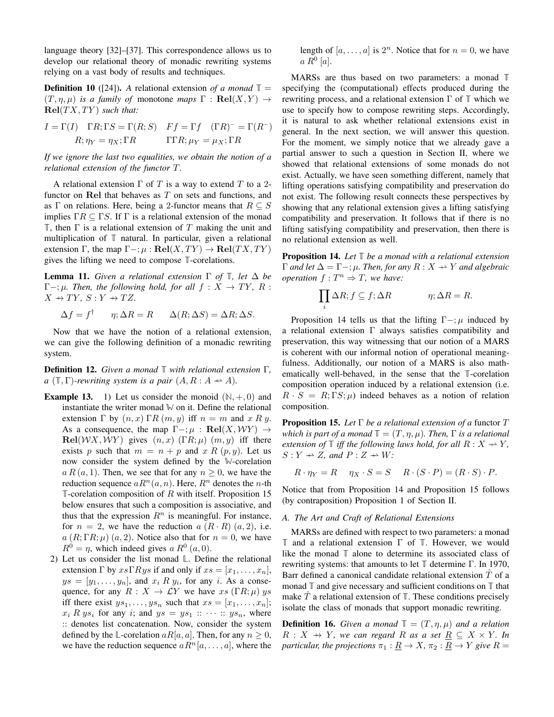language theory [32]–[37]. This correspondence allows us to develop our relational theory of monadic rewriting systems relying on a vast body of results and techniques.

**Definition 10** ([24]). A relational extension of a monad  $\mathbb{T} =$  $(T, \eta, \mu)$  *is a family of monotone maps*  $\Gamma : \textbf{Rel}(X, Y) \rightarrow$  $Rel(TX, TY)$  *such that:* 

$$
I = \Gamma(I) \quad \Gamma R; \Gamma S = \Gamma(R; S) \quad Ff = \Gamma f \quad (\Gamma R)^{-} = \Gamma(R^{-})
$$

$$
R; \eta_{Y} = \eta_{X}; \Gamma R \qquad \qquad \Gamma \Gamma R; \mu_{Y} = \mu_{X}; \Gamma R
$$

*If we ignore the last two equalities, we obtain the notion of a relational extension of the functor* T*.*

A relational extension  $\Gamma$  of  $T$  is a way to extend  $T$  to a 2functor on Rel that behaves as  $T$  on sets and functions, and as Γ on relations. Here, being a 2-functor means that  $R \subseteq S$ implies  $\Gamma R \subseteq \Gamma S$ . If  $\Gamma$  is a relational extension of the monad **T**, then Γ is a relational extension of T making the unit and multiplication of **T** natural. In particular, given a relational extension  $\Gamma$ , the map  $\Gamma -$ ;  $\mu : \textbf{Rel}(X, TY) \to \textbf{Rel}(TX, TY)$ gives the lifting we need to compose **T**-corelations.

**Lemma 11.** *Given a relational extension*  $\Gamma$  *of*  $\mathbb{T}$ *, let*  $\Delta$  *be*  $\Gamma-\gamma\mu$ *. Then, the following hold, for all*  $f: X \to TY$ *, R* :  $X \rightarrow TY$ ,  $S: Y \rightarrow TZ$ .

$$
\Delta f = f^{\dagger} \qquad \eta; \Delta R = R \qquad \Delta(R; \Delta S) = \Delta R; \Delta S.
$$

Now that we have the notion of a relational extension, we can give the following definition of a monadic rewriting system.

Definition 12. *Given a monad* **T** *with relational extension* Γ*, a* ( $\mathbb{T}, \Gamma$ )*-rewriting system is a pair*  $(A, R : A \rightarrow A)$ *.* 

- **Example 13.** 1) Let us consider the monoid  $(\mathbb{N}, +, 0)$  and instantiate the writer monad  $\mathbb{W}$  on it. Define the relational extension  $\Gamma$  by  $(n, x)$   $\Gamma R(m, y)$  iff  $n = m$  and x R y. As a consequence, the map  $\Gamma -; \mu : \textbf{Rel}(X, \mathcal{W}Y) \rightarrow$  $\text{Rel}(\mathcal{W}X, \mathcal{W}Y)$  gives  $(n, x)$  (ΓR;  $\mu$ )  $(m, y)$  iff there exists p such that  $m = n + p$  and x R  $(p, y)$ . Let us now consider the system defined by the **W**-corelation  $a R(a, 1)$ . Then, we see that for any  $n \geq 0$ , we have the reduction sequence  $aR^n(a, n)$ . Here,  $R^n$  denotes the *n*-th **T**-corelation composition of R with itself. Proposition 15 below ensures that such a composition is associative, and thus that the expression  $R<sup>n</sup>$  is meaningful. For instance, for  $n = 2$ , we have the reduction  $a(R \cdot R)(a, 2)$ , i.e.  $a(R; \Gamma R; \mu)$  (a, 2). Notice also that for  $n = 0$ , we have  $R^0 = \eta$ , which indeed gives a  $R^0$   $(a, 0)$ .
	- 2) Let us consider the list monad **L**. Define the relational extension  $\Gamma$  by  $xs\Gamma Rys$  if and only if  $xs = [x_1, \ldots, x_n],$  $ys = [y_1, \ldots, y_n]$ , and  $x_i R y_i$ , for any i. As a consequence, for any  $R : X \to \mathcal{L}Y$  we have  $xs(\Gamma R; \mu)$  ys iff there exist  $ys_1, \ldots, ys_n$  such that  $xs = [x_1, \ldots, x_n];$  $x_i R y s_i$  for any i; and  $y s = y s_1 :: \cdots :: y s_n$ , where :: denotes list concatenation. Now, consider the system defined by the  $\mathbb{L}\text{-corelation } aR[a, a]$ . Then, for any  $n \geq 0$ , we have the reduction sequence  $a R<sup>n</sup>[a, \ldots, a]$ , where the

length of  $[a, \ldots, a]$  is  $2^n$ . Notice that for  $n = 0$ , we have  $a R^0 [a].$ 

MARSs are thus based on two parameters: a monad **T** specifying the (computational) effects produced during the rewriting process, and a relational extension Γ of **T** which we use to specify how to compose rewriting steps. Accordingly, it is natural to ask whether relational extensions exist in general. In the next section, we will answer this question. For the moment, we simply notice that we already gave a partial answer to such a question in Section II, where we showed that relational extensions of some monads do not exist. Actually, we have seen something different, namely that lifting operations satisfying compatibility and preservation do not exist. The following result connects these perspectives by showing that any relational extension gives a lifting satisfying compatibility and preservation. It follows that if there is no lifting satisfying compatibility and preservation, then there is no relational extension as well.

Proposition 14. *Let* **T** *be a monad with a relational extension*  $\Gamma$  *and let*  $\Delta = \Gamma -$ ;  $\mu$ *. Then, for any*  $R : X \rightarrow Y$  *and algebraic operation*  $f: T^n \Rightarrow T$ *, we have:* 

$$
\prod_i \Delta R; f \subseteq f; \Delta R \qquad \eta; \Delta R = R.
$$

Proposition 14 tells us that the lifting  $\Gamma - \mu$  induced by a relational extension Γ always satisfies compatibility and preservation, this way witnessing that our notion of a MARS is coherent with our informal notion of operational meaningfulness. Additionally, our notion of a MARS is also mathematically well-behaved, in the sense that the **T**-corelation composition operation induced by a relational extension (i.e.  $R \cdot S = R; \Gamma S; \mu$  indeed behaves as a notion of relation composition.

Proposition 15. *Let* Γ *be a relational extension of a* functor T *which is part of a monad*  $\mathbb{T} = (T, \eta, \mu)$ *. Then,*  $\Gamma$  *is a relational extension of*  $\mathbb{T}$  *iff the following laws hold, for all*  $R: X \rightarrow Y$ ,  $S: Y \rightarrow Z$ , and  $P: Z \rightarrow W$ :

$$
R \cdot \eta_Y = R \quad \eta_X \cdot S = S \quad R \cdot (S \cdot P) = (R \cdot S) \cdot P.
$$

Notice that from Proposition 14 and Proposition 15 follows (by contraposition) Proposition 1 of Section II.

#### *A. The Art and Craft of Relational Extensions*

MARSs are defined with respect to two parameters: a monad **T** and a relational extension Γ of **T**. However, we would like the monad **T** alone to determine its associated class of rewriting systems: that amounts to let **T** determine Γ. In 1970, Barr defined a canonical candidate relational extension  $T$  of a monad **T** and give necessary and sufficient conditions on **T** that make  $\hat{T}$  a relational extension of  $\mathbb{T}$ . These conditions precisely isolate the class of monads that support monadic rewriting.

**Definition 16.** *Given a monad*  $\mathbb{T} = (T, \eta, \mu)$  *and a relation*  $R: X \rightarrow Y$ *, we can regard* R *as a set*  $R \subseteq X \times Y$ *. In particular, the projections*  $\pi_1 : \underline{R} \to X$ ,  $\pi_2 : \underline{R} \to Y$  *give*  $R =$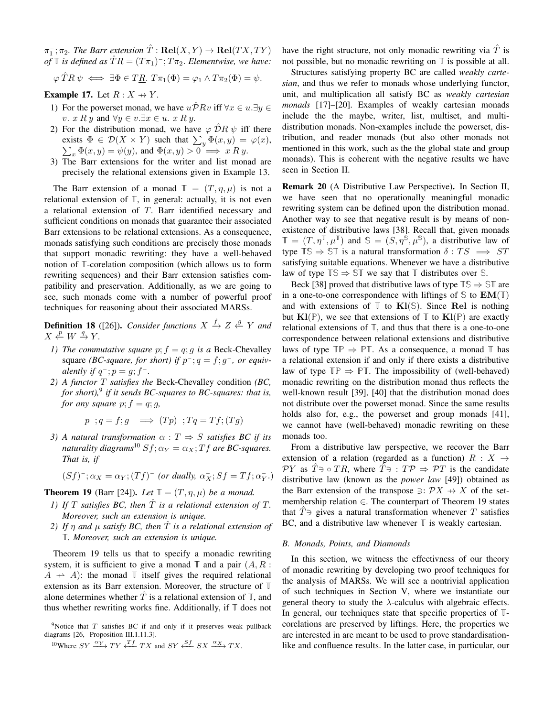$\pi_1^-$ ;  $\pi_2$ . The Barr extension  $\hat{T}$ : **Rel**(X, Y)  $\to$  **Rel**(TX, TY)  $of \mathbb{T}$  *is defined as*  $\hat{T}R = (T\pi_1)^{-}$ ;  $T\pi_2$ . *Elementwise, we have:* 

$$
\varphi \hat{T}R \psi \iff \exists \Phi \in T\underline{R}. \ T\pi_1(\Phi) = \varphi_1 \wedge T\pi_2(\Phi) = \psi.
$$

**Example 17.** Let  $R: X \rightarrow Y$ .

- 1) For the powerset monad, we have  $u\overline{\mathcal{P}}Rv$  iff  $\forall x \in u.\exists y \in \mathcal{P}$ v. x R y and  $\forall y \in v. \exists x \in u.$  x R y.
- 2) For the distribution monad, we have  $\varphi \, \hat{\mathcal{D}}R \, \psi$  iff there exists  $\Phi \in \mathcal{D}(X \times Y)$  such that  $\sum_y \Phi(x, y) = \varphi(x)$ ,<br>  $\sum_x \Phi(x, y) = \psi(y)$ , and  $\Phi(x, y) > 0 \implies x R y$ .  $\sum_x \Phi(x, y) = \psi(y)$ , and  $\Phi(x, y) > 0 \implies x R y$ .
- 3) The Barr extensions for the writer and list monad are precisely the relational extensions given in Example 13.

The Barr extension of a monad  $\mathbb{T} = (T, \eta, \mu)$  is not a relational extension of **T**, in general: actually, it is not even a relational extension of T. Barr identified necessary and sufficient conditions on monads that guarantee their associated Barr extensions to be relational extensions. As a consequence, monads satisfying such conditions are precisely those monads that support monadic rewriting: they have a well-behaved notion of **T**-corelation composition (which allows us to form rewriting sequences) and their Barr extension satisfies compatibility and preservation. Additionally, as we are going to see, such monads come with a number of powerful proof techniques for reasoning about their associated MARSs.

**Definition 18** ([26]). *Consider functions*  $X \xrightarrow{f} Z \xleftarrow{g} Y$  and  $X \xleftarrow{p} W \xrightarrow{q} Y.$ 

- *1) The commutative square*  $p$ ;  $f = q$ ;  $q$  *is a* Beck-Chevalley square *(BC-square, for short)* if  $p^-$ ;  $q = f$ ;  $g^-$ *, or equivalently if*  $q^-$ ;  $p = g$ ;  $f^-$ .
- *2) A functor* T *satisfies the* Beck-Chevalley condition *(BC, for short),*<sup>9</sup> *if it sends BC-squares to BC-squares: that is, for any square*  $p$ ;  $f = q$ ;  $g$ ,

$$
p^{-}; q = f; g^{-} \implies (Tp)^{-}; Tq = Tf; (Tg)^{-}
$$

*3) A* natural transformation  $\alpha$  :  $T \Rightarrow S$  *satisfies BC if its naturality diagrams*<sup>10</sup>  $Sf$ ;  $\alpha_Y = \alpha_X$ ; *T*  $f$  *are BC-squares. That is, if*

$$
(Sf)^{-}; \alpha_X = \alpha_Y; (Tf)^{-} \text{ (or dually, } \alpha_X^{-}; Sf = Tf; \alpha_Y^{-}.)
$$

**Theorem 19** (Barr [24]). Let  $\mathbb{T} = (T, \eta, \mu)$  be a monad.

- *1)* If T satisfies BC, then  $\hat{T}$  is a relational extension of T. *Moreover, such an extension is unique.*
- *2)* If  $\eta$  and  $\mu$  satisfy BC, then  $\overline{T}$  is a relational extension of **T***. Moreover, such an extension is unique.*

Theorem 19 tells us that to specify a monadic rewriting system, it is sufficient to give a monad  $\mathbb T$  and a pair  $(A, R :$  $A \rightarrow A$ : the monad  $\mathbb T$  itself gives the required relational extension as its Barr extension. Moreover, the structure of **T** alone determines whether  $T$  is a relational extension of  $\mathbb{T}$ , and thus whether rewriting works fine. Additionally, if **T** does not

have the right structure, not only monadic rewriting via  $\hat{T}$  is not possible, but no monadic rewriting on **T** is possible at all.

Structures satisfying property BC are called *weakly cartesian*, and thus we refer to monads whose underlying functor, unit, and multiplication all satisfy BC as *weakly cartesian monads* [17]–[20]. Examples of weakly cartesian monads include the the maybe, writer, list, multiset, and multidistribution monads. Non-examples include the powerset, distribution, and reader monads (but also other monads not mentioned in this work, such as the the global state and group monads). This is coherent with the negative results we have seen in Section II.

Remark 20 (A Distributive Law Perspective). In Section II, we have seen that no operationally meaningful monadic rewriting system can be defined upon the distribution monad. Another way to see that negative result is by means of nonexistence of distributive laws [38]. Recall that, given monads  $\mathbb{T} = (T, \eta^{\mathbb{T}}, \mu^{\mathbb{T}})$  and  $\mathbb{S} = (S, \eta^{\mathbb{S}}, \mu^{\mathbb{S}})$ , a distributive law of type  $TS \Rightarrow ST$  is a natural transformation  $\delta: TS \implies ST$ satisfying suitable equations. Whenever we have a distributive law of type  $\mathbb{TS} \Rightarrow \mathbb{ST}$  we say that  $\mathbb{T}$  distributes over  $\mathbb{S}$ .

Beck [38] proved that distributive laws of type  $\mathbb{TS} \Rightarrow \mathbb{ST}$  are in a one-to-one correspondence with liftings of  $\mathbb{S}$  to  $EM(\mathbb{T})$ and with extensions of  $\mathbb{T}$  to  $\mathbf{K}l(\mathbb{S})$ . Since Rel is nothing but  $\mathbf{K}l(\mathbb{P})$ , we see that extensions of  $\mathbb{T}$  to  $\mathbf{K}l(\mathbb{P})$  are exactly relational extensions of **T**, and thus that there is a one-to-one correspondence between relational extensions and distributive laws of type  $\mathbb{TP} \Rightarrow \mathbb{PT}$ . As a consequence, a monad  $\mathbb{T}$  has a relational extension if and only if there exists a distributive law of type  $\mathbb{TP} \Rightarrow \mathbb{PT}$ . The impossibility of (well-behaved) monadic rewriting on the distribution monad thus reflects the well-known result [39], [40] that the distribution monad does not distribute over the powerset monad. Since the same results holds also for, e.g., the powerset and group monads [41], we cannot have (well-behaved) monadic rewriting on these monads too.

From a distributive law perspective, we recover the Barr extension of a relation (regarded as a function)  $R : X \rightarrow$  $\mathcal{P}Y$  as  $\mathcal{T}\ni \circ \mathcal{T}R$ , where  $\mathcal{T}\ni \mathcal{T}P \Rightarrow \mathcal{P}T$  is the candidate distributive law (known as the *power law* [49]) obtained as the Barr extension of the transpose  $\exists: \mathcal{P}X \rightarrow X$  of the setmembership relation  $\in$ . The counterpart of Theorem 19 states that  $\hat{T}$  ⇒ gives a natural transformation whenever  $T$  satisfies BC, and a distributive law whenever **T** is weakly cartesian.

#### *B. Monads, Points, and Diamonds*

In this section, we witness the effectivness of our theory of monadic rewriting by developing two proof techniques for the analysis of MARSs. We will see a nontrivial application of such techniques in Section V, where we instantiate our general theory to study the  $\lambda$ -calculus with algebraic effects. In general, our techniques state that specific properties of **T**corelations are preserved by liftings. Here, the properties we are interested in are meant to be used to prove standardisationlike and confluence results. In the latter case, in particular, our

<sup>&</sup>lt;sup>9</sup>Notice that  $T$  satisfies BC if and only if it preserves weak pullback diagrams [26, Proposition III.1.11.3].

 $10$ Where  $SY \xrightarrow{\alpha_Y} TY \xleftarrow{Tf} TX$  and  $SY \xleftarrow{Sf} SX \xrightarrow{\alpha_X} TX$ .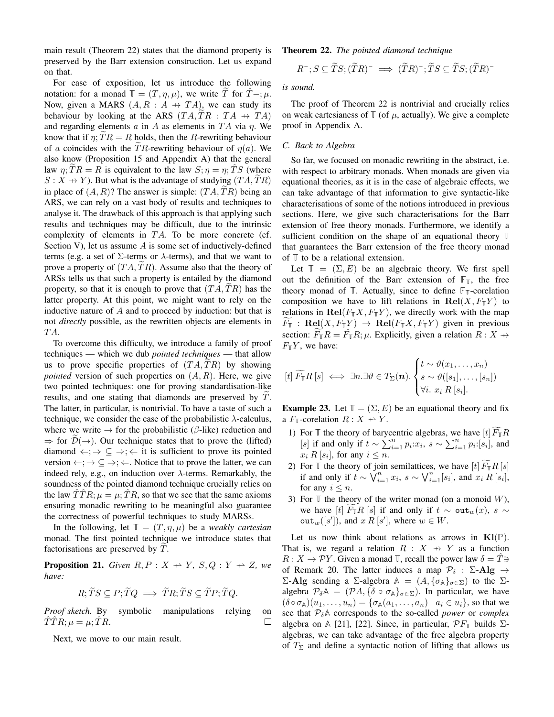main result (Theorem 22) states that the diamond property is preserved by the Barr extension construction. Let us expand on that.

For ease of exposition, let us introduce the following notation: for a monad  $\mathbb{T} = (T, \eta, \mu)$ , we write T for  $\hat{T} - \mu$ . Now, given a MARS  $(A, R : A \rightarrow TA)$ , we can study its behaviour by looking at the ARS  $(TA, TR : TA \rightarrow TA)$ and regarding elements a in A as elements in  $TA$  via  $\eta$ . We know that if  $\eta$ ;  $TR = R$  holds, then the R-rewriting behaviour of a coincides with the TR-rewriting behaviour of  $\eta(a)$ . We also know (Proposition 15 and Appendix A) that the general law  $\eta$ ;  $TR = R$  is equivalent to the law  $S; \eta = \eta$ ;  $TS$  (where  $S: X \rightarrow Y$ ). But what is the advantage of studying  $(TA, TR)$ in place of  $(A, R)$ ? The answer is simple:  $(TA, TR)$  being an ARS, we can rely on a vast body of results and techniques to analyse it. The drawback of this approach is that applying such results and techniques may be difficult, due to the intrinsic complexity of elements in  $TA$ . To be more concrete (cf. Section V), let us assume A is some set of inductively-defined terms (e.g. a set of  $\Sigma$ -terms or  $\lambda$ -terms), and that we want to prove a property of  $(TA, TR)$ . Assume also that the theory of ARSs tells us that such a property is entailed by the diamond property, so that it is enough to prove that  $(TA, TR)$  has the latter property. At this point, we might want to rely on the inductive nature of A and to proceed by induction: but that is not *directly* possible, as the rewritten objects are elements in T A.

To overcome this difficulty, we introduce a family of proof techniques — which we dub *pointed techniques* — that allow us to prove specific properties of  $(TA, TR)$  by showing *pointed* version of such properties on  $(A, R)$ . Here, we give two pointed techniques: one for proving standardisation-like results, and one stating that diamonds are preserved by  $\tilde{T}$ . The latter, in particular, is nontrivial. To have a taste of such a technique, we consider the case of the probabilistic  $\lambda$ -calculus, where we write  $\rightarrow$  for the probabilistic ( $\beta$ -like) reduction and  $\Rightarrow$  for  $\mathcal{D}(\rightarrow)$ . Our technique states that to prove the (lifted) diamond  $\Leftarrow$ ;  $\Rightarrow \subseteq \Rightarrow$ ;  $\Leftarrow$  it is sufficient to prove its pointed version  $\leftarrow; \rightarrow \subseteq \Rightarrow; \Leftarrow$ . Notice that to prove the latter, we can indeed rely, e.g., on induction over  $\lambda$ -terms. Remarkably, the soundness of the pointed diamond technique crucially relies on the law  $\overline{T}TR; \mu = \mu; \overline{T}R$ , so that we see that the same axioms ensuring monadic rewriting to be meaningful also guarantee the correctness of powerful techniques to study MARSs.

In the following, let  $\mathbb{T} = (T, \eta, \mu)$  be a *weakly cartesian* monad. The first pointed technique we introduce states that factorisations are preserved by  $T$ .

**Proposition 21.** *Given*  $R, P: X \rightarrow Y$ ,  $S, Q: Y \rightarrow Z$ , we *have:*

$$
R; \widetilde{T}S \subseteq P; \widetilde{T}Q \implies \widetilde{T}R; \widetilde{T}S \subseteq \widetilde{T}P; \widetilde{T}Q.
$$

*Proof sketch.* By symbolic manipulations relying on  $\hat{T}\hat{T}R;\mu=\mu;\hat{T}R.$  $\Box$ 

Next, we move to our main result.

Theorem 22. *The pointed diamond technique*

$$
R^{-}; S \subseteq \widetilde{T}S; (\widetilde{T}R)^{-} \implies (\widetilde{T}R)^{-}; \widetilde{T}S \subseteq \widetilde{T}S; (\widetilde{T}R)^{-}
$$

*is sound.*

The proof of Theorem 22 is nontrivial and crucially relies on weak cartesianess of  $\mathbb{T}$  (of  $\mu$ , actually). We give a complete proof in Appendix A.

## *C. Back to Algebra*

So far, we focused on monadic rewriting in the abstract, i.e. with respect to arbitrary monads. When monads are given via equational theories, as it is in the case of algebraic effects, we can take advantage of that information to give syntactic-like characterisations of some of the notions introduced in previous sections. Here, we give such characterisations for the Barr extension of free theory monads. Furthermore, we identify a sufficient condition on the shape of an equational theory **T** that guarantees the Barr extension of the free theory monad of **T** to be a relational extension.

Let  $\mathbb{T} = (\Sigma, E)$  be an algebraic theory. We first spell out the definition of the Barr extension of  $\mathbb{F}_{T}$ , the free theory monad of  $\mathbb{T}$ . Actually, since to define  $\mathbb{F}_\mathbb{T}$ -corelation composition we have to lift relations in  $\text{Rel}(X, F_\mathbb{T} Y)$  to relations in  $\text{Rel}(F_{\mathbb{T}}X, F_{\mathbb{T}}Y)$ , we directly work with the map  $F_{\mathbb{T}}$  : Rel $(X, F_{\mathbb{T}}Y) \rightarrow$  Rel $(F_{\mathbb{T}}X, F_{\mathbb{T}}Y)$  given in previous section:  $\widetilde{F}_{\mathbb{I}}R = \hat{F}_{\mathbb{I}}R; \mu$ . Explicitly, given a relation  $R: X \rightarrow \mathbb{I}$  $F_{\mathbb{T}}Y$ , we have:

$$
[t] \widetilde{F}_{\mathbb{T}}R\left[s\right] \iff \exists n. \exists \vartheta \in T_{\Sigma}(\boldsymbol{n}). \begin{cases} t \sim \vartheta(x_1, \ldots, x_n) \\ s \sim \vartheta([s_1], \ldots, [s_n]) \\ \forall i. \ x_i \ R\left[s_i\right]. \end{cases}
$$

**Example 23.** Let  $\mathbb{T} = (\Sigma, E)$  be an equational theory and fix a  $F_{\mathbb{T}}$ -corelation  $R: X \to Y$ .

- 1) For  $\mathbb T$  the theory of barycentric algebras, we have  $[t]\widetilde{F}_{\mathbb T}R$ [s] if and only if  $t \sim \sum_{i=1}^{n} p_i x_i$ ,  $s \sim \sum_{i=1}^{n} p_i$ :[si], and  $x_i R[s_i]$ , for any  $i \leq n$ .
- 2) For  $\mathbb T$  the theory of join semilattices, we have  $[t]$   $F_{\mathbb T}R[s]$ if and only if  $t \sim \check{\bigvee}_{i=1}^{n} x_i$ ,  $s \sim \bigvee_{i=1}^{n} [s_i]$ , and  $x_i R [s_i]$ , for any  $i \leq n$ .
- 3) For  $\mathbb T$  the theory of the writer monad (on a monoid W), we have [t]  $F_{\mathbb{T}}R$  [s] if and only if  $t \sim \text{out}_w(x)$ , s ~  $\text{out}_w([s'])$ , and  $x R [s']$ , where  $w \in W$ .

Let us now think about relations as arrows in  $\mathbf{Kl}(\mathbb{P})$ . That is, we regard a relation  $R : X \rightarrow Y$  as a function  $R: X \to \mathcal{P}Y$ . Given a monad **T**, recall the power law  $\delta = T \ni$ of Remark 20. The latter induces a map  $\mathcal{P}_{\delta}$  :  $\Sigma$ -Alg  $\rightarrow$ Σ-Alg sending a Σ-algebra  $\mathbb{A} = (A, {\{\sigma_{\mathbb{A}}\}}_{\sigma \in \Sigma})$  to the Σalgebra  $\mathcal{P}_{\delta} \mathbb{A} = (\mathcal{P} A, \{\delta \circ \sigma_{\mathbb{A}}\}_{\sigma \in \Sigma})$ . In particular, we have  $(\delta \circ \sigma_A)(u_1, \ldots, u_n) = {\sigma_A(a_1, \ldots, a_n) \mid a_i \in u_i}$ , so that we see that  $P_{\delta}$ <sup> $\uparrow$ </sup> corresponds to the so-called *power* or *complex* algebra on  $\mathbb{A}$  [21], [22]. Since, in particular,  $\mathcal{P}F_{\mathbb{T}}$  builds  $\Sigma$ algebras, we can take advantage of the free algebra property of  $T_{\Sigma}$  and define a syntactic notion of lifting that allows us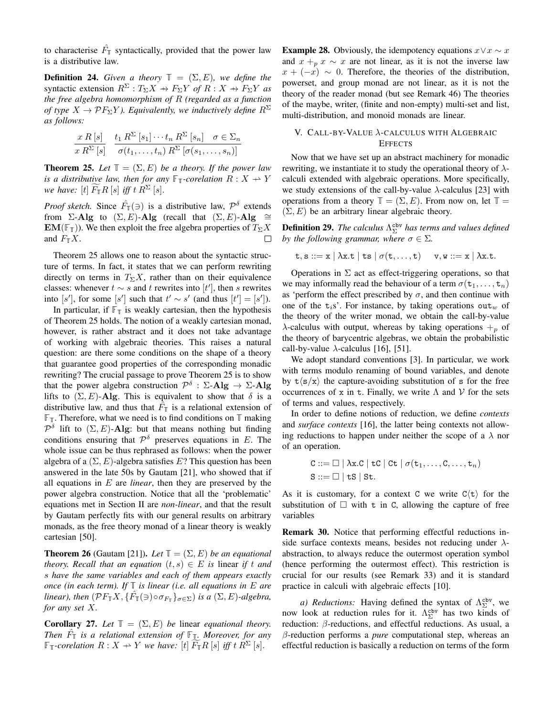to characterise  $\hat{F}_{\mathbb{T}}$  syntactically, provided that the power law is a distributive law.

**Definition 24.** *Given a theory*  $\mathbb{T} = (\Sigma, E)$ *, we define the* syntactic extension  $R^{\Sigma}: T_{\Sigma}X \rightarrow F_{\Sigma}Y$  *of*  $R: X \rightarrow F_{\Sigma}Y$  *as the free algebra homomorphism of* R *(regarded as a function of type*  $X \to \mathcal{P}F_{\Sigma}Y$ *). Equivalently, we inductively define*  $R^{\Sigma}$ *as follows:*

$$
\frac{x R [s]}{x R^{\Sigma} [s]} \quad \frac{t_1 R^{\Sigma} [s_1] \cdots t_n R^{\Sigma} [s_n] \quad \sigma \in \Sigma_n}{\sigma(t_1, \ldots, t_n) R^{\Sigma} [\sigma(s_1, \ldots, s_n)]}
$$

**Theorem 25.** Let  $\mathbb{T} = (\Sigma, E)$  be a theory. If the power law *is a distributive law, then for any*  $\mathbb{F}_T$ -corelation  $R: X \rightarrow Y$ *we have:*  $[t]$   $F_{\mathbb{T}}R$   $[s]$  *iff t*  $R^{\Sigma}$   $[s]$ *.* 

*Proof sketch.* Since  $\hat{F}_{\mathbb{I}}(\ni)$  is a distributive law,  $\mathcal{P}^{\delta}$  extends from  $\Sigma$ -Alg to  $(\Sigma, E)$ -Alg (recall that  $(\Sigma, E)$ -Alg ≅ **EM**( $\mathbb{F}_{T}$ )). We then exploit the free algebra properties of  $T_{\Sigma}X$ and  $F_{\mathbb{T}}X$ .  $\Box$ 

Theorem 25 allows one to reason about the syntactic structure of terms. In fact, it states that we can perform rewriting directly on terms in  $T_{\Sigma}X$ , rather than on their equivalence classes: whenever  $t \sim s$  and t rewrites into [t'], then s rewrites into [s'], for some [s'] such that  $t' \sim s'$  (and thus  $[t'] = [s']$ ).

In particular, if  $\mathbb{F}_{\mathbb{T}}$  is weakly cartesian, then the hypothesis of Theorem 25 holds. The notion of a weakly cartesian monad, however, is rather abstract and it does not take advantage of working with algebraic theories. This raises a natural question: are there some conditions on the shape of a theory that guarantee good properties of the corresponding monadic rewriting? The crucial passage to prove Theorem 25 is to show that the power algebra construction  $\mathcal{P}^{\delta}$  :  $\Sigma$ -Alg  $\rightarrow \Sigma$ -Alg lifts to  $(\Sigma, E)$ -Alg. This is equivalent to show that  $\delta$  is a distributive law, and thus that  $\hat{F}_{\mathbb{T}}$  is a relational extension of **FT**. Therefore, what we need is to find conditions on **T** making  $\mathcal{P}^{\delta}$  lift to  $(\Sigma, E)$ -Alg: but that means nothing but finding conditions ensuring that  $\mathcal{P}^{\delta}$  preserves equations in E. The whole issue can be thus rephrased as follows: when the power algebra of a  $(\Sigma, E)$ -algebra satisfies E? This question has been answered in the late 50s by Gautam [21], who showed that if all equations in E are *linear*, then they are preserved by the power algebra construction. Notice that all the 'problematic' equations met in Section II are *non-linear*, and that the result by Gautam perfectly fits with our general results on arbitrary monads, as the free theory monad of a linear theory is weakly cartesian [50].

**Theorem 26** (Gautam [21]). Let  $\mathbb{T} = (\Sigma, E)$  be an equational *theory. Recall that an equation*  $(t, s) \in E$  *is linear if t and* s *have the same variables and each of them appears exactly once (in each term). If* **T** *is linear (i.e. all equations in* E *are linear*), then  $(\mathcal{P}F_{\mathbb{T}}X, \{\hat{F}_{\mathbb{T}}(\ni)\circ \sigma_{F_{\mathbb{T}}}\}_{\sigma \in \Sigma})$  *is a*  $(\Sigma, E)$ -algebra, *for any set* X*.*

**Corollary 27.** Let  $\mathbb{T} = (\Sigma, E)$  be linear *equational theory. Then* Fˆ **<sup>T</sup>** *is a relational extension of* **FT***. Moreover, for any*  $\mathbb{F}_{\mathbb{T}}$ *-corelation*  $R: X \to Y$  we have:  $[t]$   $F_{\mathbb{T}}R$  [s] *iff*  $t R^{\Sigma}$  [s].

**Example 28.** Obviously, the idempotency equations  $x \vee x \sim x$ and  $x + p x \sim x$  are not linear, as it is not the inverse law  $x + (-x) \sim 0$ . Therefore, the theories of the distribution, powerset, and group monad are not linear, as it is not the theory of the reader monad (but see Remark 46) The theories of the maybe, writer, (finite and non-empty) multi-set and list, multi-distribution, and monoid monads are linear.

# V. CALL-BY-VALUE λ-CALCULUS WITH ALGEBRAIC **EFFECTS**

Now that we have set up an abstract machinery for monadic rewriting, we instantiate it to study the operational theory of  $\lambda$ calculi extended with algebraic operations. More specifically, we study extensions of the call-by-value  $\lambda$ -calculus [23] with operations from a theory  $\mathbb{T} = (\Sigma, E)$ . From now on, let  $\mathbb{T} =$  $(\Sigma, E)$  be an arbitrary linear algebraic theory.

**Definition 29.** The calculus  $Λ_{\Sigma}^{\text{cbv}}$  has terms and values defined *by the following grammar, where*  $\sigma \in \Sigma$ *.* 

$$
\mathtt{t}, \mathtt{s} ::= \mathtt{x} \mid \lambda \mathtt{x}.\mathtt{t} \mid \mathtt{ts} \mid \sigma(\mathtt{t},\ldots,\mathtt{t}) \quad \mathtt{v}, \mathtt{w} ::= \mathtt{x} \mid \lambda \mathtt{x}.\mathtt{t}.
$$

Operations in  $\Sigma$  act as effect-triggering operations, so that we may informally read the behaviour of a term  $\sigma(t_1, \ldots, t_n)$ as 'perform the effect prescribed by  $\sigma$ , and then continue with one of the  $t_i$ s'. For instance, by taking operations out<sub>w</sub> of the theory of the writer monad, we obtain the call-by-value  $\lambda$ -calculus with output, whereas by taking operations  $+_p$  of the theory of barycentric algebras, we obtain the probabilistic call-by-value  $\lambda$ -calculus [16], [51].

We adopt standard conventions [3]. In particular, we work with terms modulo renaming of bound variables, and denote by  $t\langle s/x \rangle$  the capture-avoiding substitution of s for the free occurrences of x in t. Finally, we write  $\Lambda$  and  $\mathcal V$  for the sets of terms and values, respectively.

In order to define notions of reduction, we define *contexts* and *surface contexts* [16], the latter being contexts not allowing reductions to happen under neither the scope of a  $\lambda$  nor of an operation.

$$
C ::= \Box | \lambda x.C | tC | Ct | \sigma(t_1,...,C,...,t_n)
$$
  

$$
S ::= \Box | tS | St.
$$

As it is customary, for a context C we write  $C(t)$  for the substitution of  $\Box$  with t in C, allowing the capture of free variables

Remark 30. Notice that performing effectful reductions inside surface contexts means, besides not reducing under  $\lambda$ abstraction, to always reduce the outermost operation symbol (hence performing the outermost effect). This restriction is crucial for our results (see Remark 33) and it is standard practice in calculi with algebraic effects [10].

*a) Reductions:* Having defined the syntax of  $\Lambda_{\Sigma}^{cbv}$ , we now look at reduction rules for it.  $\Lambda_{\Sigma}^{\text{cbv}}$  has two kinds of reduction: β-reductions, and effectful reductions. As usual, a β-reduction performs a *pure* computational step, whereas an effectful reduction is basically a reduction on terms of the form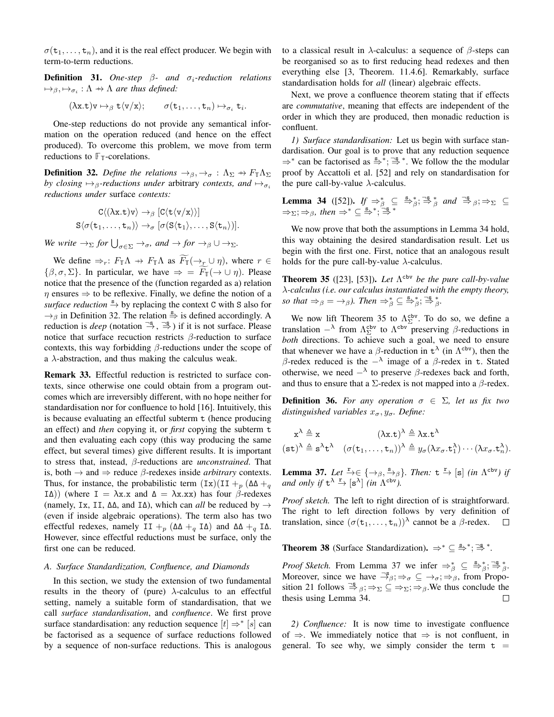$\sigma(\mathsf{t}_1,\ldots,\mathsf{t}_n)$ , and it is the real effect producer. We begin with term-to-term reductions.

**Definition 31.** One-step  $\beta$ - and  $\sigma_i$ -reduction relations  $\mapsto_{\beta}, \mapsto_{\sigma_i} : \Lambda \to \Lambda$  are thus defined:

$$
(\lambda x.t)v \mapsto_{\beta} t\langle v/x\rangle;
$$
  $\sigma(t_1,...,t_n) \mapsto_{\sigma_i} t_i.$ 

One-step reductions do not provide any semantical information on the operation reduced (and hence on the effect produced). To overcome this problem, we move from term reductions to  $\mathbb{F}_{\mathbb{T}}$ -corelations.

**Definition 32.** *Define the relations*  $\rightarrow$ <sub>β</sub>,  $\rightarrow$ <sub>σ</sub> :  $\Lambda_{\Sigma}$   $\rightarrow$   $F_{\mathbb{T}}\Lambda_{\Sigma}$ *by closing*  $\mapsto$ <sub>β</sub>-reductions under arbitrary *contexts, and*  $\mapsto$ <sub>σi</sub> *reductions under* surface *contexts:*

$$
C\langle (\lambda x.t)v \rangle \to_{\beta} [C\langle t\langle v/x \rangle \rangle] S\langle \sigma(t_1,\ldots,t_n) \rangle \to_{\sigma} [\sigma(S\langle t_1 \rangle,\ldots,S\langle t_n \rangle)].
$$

*We write*  $\rightarrow_{\Sigma}$  *for*  $\bigcup_{\sigma \in \Sigma} \rightarrow_{\sigma}$ *, and*  $\rightarrow$  *for*  $\rightarrow_{\beta} \cup \rightarrow_{\Sigma}$ *.* 

We define  $\Rightarrow_r: F_{\mathbb{T}} \Lambda \to F_{\mathbb{T}} \Lambda$  as  $\widetilde{F}_{\mathbb{T}}(\rightarrow_r \cup \eta)$ , where  $r \in$  $\{\beta, \sigma, \Sigma\}$ . In particular, we have  $\Rightarrow$  =  $\widetilde{F}_{\mathbb{I}}(\rightarrow \cup \eta)$ . Please notice that the presence of the (function regarded as a) relation  $\eta$  ensures  $\Rightarrow$  to be reflexive. Finally, we define the notion of a surface reduction  $\frac{s}{r}$  by replacing the context C with S also for  $\rightarrow$ <sub>β</sub> in Definition 32. The relation  $\stackrel{s}{\Rightarrow}$  is defined accordingly. A reduction is *deep* (notation  $\stackrel{\neg s}{\rightarrow}$ ,  $\stackrel{\neg s}{\Rightarrow}$ ) if it is not surface. Please notice that surface recuction restricts  $β$ -reduction to surface contexts, this way forbidding  $\beta$ -reductions under the scope of a  $\lambda$ -abstraction, and thus making the calculus weak.

Remark 33. Effectful reduction is restricted to surface contexts, since otherwise one could obtain from a program outcomes which are irreversibly different, with no hope neither for standardisation nor for confluence to hold [16]. Intuitively, this is because evaluating an effectful subterm t (hence producing an effect) and *then* copying it, or *first* copying the subterm t and then evaluating each copy (this way producing the same effect, but several times) give different results. It is important to stress that, instead, β-reductions are *unconstrained*. That is, both  $\rightarrow$  and  $\Rightarrow$  reduce  $\beta$ -redexes inside *arbitrary* contexts. Thus, for instance, the probabilistic term  $(Tx)(II + p (\Delta \Delta + q$ IΔ)) (where I =  $\lambda$ x.x and Δ =  $\lambda$ x.xx) has four β-redexes (namely, Ix, II, ∆∆, and I∆), which can *all* be reduced by → (even if inside algebraic operations). The term also has two effectful redexes, namely II +<sub>p</sub> ( $\Delta\Delta$  +<sub>q</sub> I $\Delta$ ) and  $\Delta\Delta$  +<sub>q</sub> I $\Delta$ . However, since effectful reductions must be surface, only the first one can be reduced.

## *A. Surface Standardization, Confluence, and Diamonds*

In this section, we study the extension of two fundamental results in the theory of (pure)  $\lambda$ -calculus to an effectful setting, namely a suitable form of standardisation, that we call *surface standardisation*, and *confluence*. We first prove surface standardisation: any reduction sequence  $[t] \Rightarrow^* [s]$  can be factorised as a sequence of surface reductions followed by a sequence of non-surface reductions. This is analogous to a classical result in  $\lambda$ -calculus: a sequence of  $\beta$ -steps can be reorganised so as to first reducing head redexes and then everything else [3, Theorem. 11.4.6]. Remarkably, surface standardisation holds for *all* (linear) algebraic effects.

Next, we prove a confluence theorem stating that if effects are *commutative*, meaning that effects are independent of the order in which they are produced, then monadic reduction is confluent.

*1) Surface standardisation:* Let us begin with surface standardisation. Our goal is to prove that any reduction sequence  $\Rightarrow^*$  can be factorised as  $\stackrel{s}{\Rightarrow}^*$ ;  $\stackrel{\neg s}{\Rightarrow}^*$ . We follow the the modular proof by Accattoli et al. [52] and rely on standardisation for the pure call-by-value  $\lambda$ -calculus.

**Lemma 34** ([52]). *If*  $\Rightarrow_{\beta}^* \subseteq \overset{s}{\Rightarrow_{\beta}^*}; \overset{\neg s}{\Rightarrow_{\beta}^*}$  *and*  $\overset{\neg s}{\Rightarrow_{\beta}}; \Rightarrow_{\Sigma} \subseteq$  $\Rightarrow \Sigma; \Rightarrow \beta$ *, then*  $\Rightarrow^* \subseteq \overset{s}{\Rightarrow}^*$ ;  $\overset{\sim}{\Rightarrow}^*$ 

We now prove that both the assumptions in Lemma 34 hold, this way obtaining the desired standardisation result. Let us begin with the first one. First, notice that an analogous result holds for the pure call-by-value  $\lambda$ -calculus.

**Theorem 35** ([23], [53]). Let  $\Lambda^{cbv}$  be the pure call-by-value λ*-calculus (i.e. our calculus instantiated with the empty theory, so that*  $\Rightarrow_{\beta} = \rightarrow_{\beta}$ *). Then*  $\Rightarrow_{\beta}^{*} \subseteq \stackrel{\mathbf{s}}{\Rightarrow}{}_{\beta}^{*}$ ;  $\stackrel{\neg \mathbf{s}}{\Rightarrow}{}_{\beta}^{*}$ .

We now lift Theorem 35 to  $\Lambda_{\Sigma}^{\text{cbv}}$ . To do so, we define a translation  $-\lambda$  from  $\Lambda_{\Sigma}^{\text{cbv}}$  to  $\Lambda^{\text{cbv}}$  preserving  $\beta$ -reductions in *both* directions. To achieve such a goal, we need to ensure that whenever we have a  $\beta$ -reduction in  $t^{\lambda}$  (in  $\Lambda^{cbv}$ ), then the β-redex reduced is the  $-\lambda$  image of a β-redex in t. Stated otherwise, we need  $-\lambda$  to preserve  $\beta$ -redexes back and forth, and thus to ensure that a  $\Sigma$ -redex is not mapped into a  $\beta$ -redex.

**Definition 36.** For any operation  $\sigma \in \Sigma$ , let us fix two *distinguished variables*  $x_{\sigma}, y_{\sigma}$ *. Define:* 

$$
x^{\lambda} \triangleq x \qquad (\lambda x.t)^{\lambda} \triangleq \lambda x.t^{\lambda}
$$
  

$$
(st)^{\lambda} \triangleq s^{\lambda}t^{\lambda} \quad (\sigma(t_1,...,t_n))^{\lambda} \triangleq y_{\sigma}(\lambda x_{\sigma}.t_1^{\lambda})\cdots(\lambda x_{\sigma}.t_n^{\lambda}).
$$

**Lemma 37.** Let  $\stackrel{r}{\to} \in \{\rightarrow \_\beta, \stackrel{s}{\rightarrow}_\beta\}$ . Then:  $t \stackrel{r}{\to} [s]$  *(in*  $\Lambda^{cbv}$ *) if and only if*  $t^{\lambda} \stackrel{r}{\rightarrow} [s^{\lambda}]$  *(in*  $\Lambda^{cbv}$ *).* 

*Proof sketch.* The left to right direction of is straightforward. The right to left direction follows by very definition of translation, since  $(\sigma(t_1,...,t_n))^{\lambda}$  cannot be a  $\beta$ -redex.  $\Box$ 

**Theorem 38** (Surface Standardization).  $\Rightarrow^* \subseteq \frac{s}{r}$ ;  $\Rightarrow^*$ ;  $\Rightarrow^*$ .

*Proof Sketch.* From Lemma 37 we infer  $\Rightarrow_{\beta}^* \subseteq \frac{s}{\beta}$ ;  $\Rightarrow_{\beta}^* :$ Moreover, since we have  $\exists^s_{\beta}$ ;  $\Rightarrow_{\sigma} \subseteq \rightarrow_{\sigma}; \Rightarrow_{\beta}$ , from Proposition 21 follows  $\Rightarrow_{\beta} \Rightarrow \Rightarrow \subseteq \Rightarrow_{\Sigma}; \Rightarrow_{\beta}$ . We thus conclude the thesis using Lemma 34.  $\Box$ 

*2) Confluence:* It is now time to investigate confluence of  $\Rightarrow$ . We immediately notice that  $\Rightarrow$  is not confluent, in general. To see why, we simply consider the term  $t =$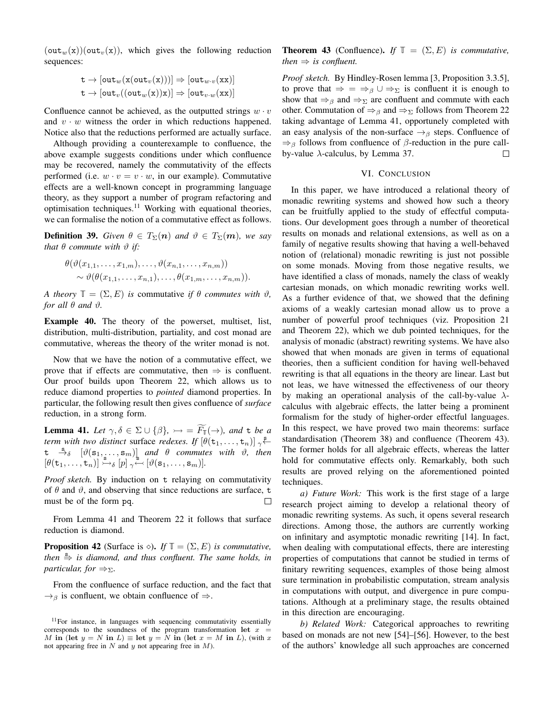$(\text{out}_w(x))(\text{out}_v(x))$ , which gives the following reduction sequences:

$$
\mathtt{t} \to [\mathtt{out}_w(\mathtt{x}(\mathtt{out}_v(\mathtt{x})))] \Rightarrow [\mathtt{out}_{w\cdot v}(\mathtt{x}\mathtt{x})] \\ \mathtt{t} \to [\mathtt{out}_v((\mathtt{out}_w(\mathtt{x}))\mathtt{x})] \Rightarrow [\mathtt{out}_{v\cdot w}(\mathtt{x}\mathtt{x})]
$$

Confluence cannot be achieved, as the outputted strings  $w \cdot v$ and  $v \cdot w$  witness the order in which reductions happened. Notice also that the reductions performed are actually surface.

Although providing a counterexample to confluence, the above example suggests conditions under which confluence may be recovered, namely the commutativity of the effects performed (i.e.  $w \cdot v = v \cdot w$ , in our example). Commutative effects are a well-known concept in programming language theory, as they support a number of program refactoring and optimisation techniques.<sup>11</sup> Working with equational theories, we can formalise the notion of a commutative effect as follows.

**Definition 39.** *Given*  $\theta \in T_{\Sigma}(n)$  *and*  $\vartheta \in T_{\Sigma}(m)$ *, we say that*  $\theta$  *commute with*  $\vartheta$  *if:* 

$$
\theta(\vartheta(x_{1,1},\ldots,x_{1,m}),\ldots,\vartheta(x_{n,1},\ldots,x_{n,m}))
$$
  

$$
\sim \vartheta(\theta(x_{1,1},\ldots,x_{n,1}),\ldots,\theta(x_{1,m},\ldots,x_{n,m})).
$$

*A theory*  $\mathbb{T} = (\Sigma, E)$  *is* commutative *if*  $\theta$  *commutes with*  $\vartheta$ *, for all*  $\theta$  *and*  $\vartheta$ *.* 

Example 40. The theory of the powerset, multiset, list, distribution, multi-distribution, partiality, and cost monad are commutative, whereas the theory of the writer monad is not.

Now that we have the notion of a commutative effect, we prove that if effects are commutative, then  $\Rightarrow$  is confluent. Our proof builds upon Theorem 22, which allows us to reduce diamond properties to *pointed* diamond properties. In particular, the following result then gives confluence of *surface* reduction, in a strong form.

**Lemma 41.** Let  $\gamma, \delta \in \Sigma \cup \{\beta\}, \rightarrowtail = \widetilde{F}_{\mathbb{I}}(\rightarrow)$ , and t be a *term with two distinct surface redexes. If*  $[\theta(\mathbf{t}_1, \dots, \mathbf{t}_n)] \sim$  $t \stackrel{s}{\rightarrow} \delta$   $[\vartheta(\mathbf{s}_1, \dots, \mathbf{s}_m)]$  *and*  $\theta$  *commutes with*  $\vartheta$ *, then*  $[\theta(\mathsf{t}_1,\ldots,\mathsf{t}_n)] \overset{\mathsf{s}}{\rightarrow} \delta [p] \underset{\gamma}{\sim} [\theta(\mathsf{s}_1,\ldots,\mathsf{s}_m)].$ 

*Proof sketch.* By induction on t relaying on commutativity of  $\theta$  and  $\vartheta$ , and observing that since reductions are surface, t must be of the form pq.

From Lemma 41 and Theorem 22 it follows that surface reduction is diamond.

**Proposition 42** (Surface is  $\diamond$ ). *If*  $\mathbb{T} = (\Sigma, E)$  *is commutative, then*  $\stackrel{s}{\Rightarrow}$  *is diamond, and thus confluent. The same holds, in particular, for*  $\Rightarrow \Sigma$ *.* 

From the confluence of surface reduction, and the fact that  $\rightarrow$ <sub>β</sub> is confluent, we obtain confluence of  $\Rightarrow$ .

**Theorem 43** (Confluence). *If*  $\mathbb{T} = (\Sigma, E)$  *is commutative, then*  $\Rightarrow$  *is confluent.* 

*Proof sketch.* By Hindley-Rosen lemma [3, Proposition 3.3.5], to prove that  $\Rightarrow$  =  $\Rightarrow_{\beta} \cup \Rightarrow_{\Sigma}$  is confluent it is enough to show that  $\Rightarrow_{\beta}$  and  $\Rightarrow_{\Sigma}$  are confluent and commute with each other. Commutation of  $\Rightarrow_{\beta}$  and  $\Rightarrow_{\Sigma}$  follows from Theorem 22 taking advantage of Lemma 41, opportunely completed with an easy analysis of the non-surface  $\rightarrow$ <sub>β</sub> steps. Confluence of  $\Rightarrow$ <sub>β</sub> follows from confluence of  $\beta$ -reduction in the pure callby-value  $\lambda$ -calculus, by Lemma 37.  $\Box$ 

## VI. CONCLUSION

In this paper, we have introduced a relational theory of monadic rewriting systems and showed how such a theory can be fruitfully applied to the study of effectful computations. Our development goes through a number of theoretical results on monads and relational extensions, as well as on a family of negative results showing that having a well-behaved notion of (relational) monadic rewriting is just not possible on some monads. Moving from those negative results, we have identified a class of monads, namely the class of weakly cartesian monads, on which monadic rewriting works well. As a further evidence of that, we showed that the defining axioms of a weakly cartesian monad allow us to prove a number of powerful proof techniques (viz. Proposition 21 and Theorem 22), which we dub pointed techniques, for the analysis of monadic (abstract) rewriting systems. We have also showed that when monads are given in terms of equational theories, then a sufficient condition for having well-behaved rewriting is that all equations in the theory are linear. Last but not leas, we have witnessed the effectiveness of our theory by making an operational analysis of the call-by-value  $\lambda$ calculus with algebraic effects, the latter being a prominent formalism for the study of higher-order effectful languages. In this respect, we have proved two main theorems: surface standardisation (Theorem 38) and confluence (Theorem 43). The former holds for all algebraic effects, whereas the latter hold for commutative effects only. Remarkably, both such results are proved relying on the aforementioned pointed techniques.

*a) Future Work:* This work is the first stage of a large research project aiming to develop a relational theory of monadic rewriting systems. As such, it opens several research directions. Among those, the authors are currently working on infinitary and asymptotic monadic rewriting [14]. In fact, when dealing with computational effects, there are interesting properties of computations that cannot be studied in terms of finitary rewriting sequences, examples of those being almost sure termination in probabilistic computation, stream analysis in computations with output, and divergence in pure computations. Although at a preliminary stage, the results obtained in this direction are encouraging.

*b) Related Work:* Categorical approaches to rewriting based on monads are not new [54]–[56]. However, to the best of the authors' knowledge all such approaches are concerned

 $11$  For instance, in languages with sequencing commutativity essentially corresponds to the soundness of the program transformation let  $x =$ M in (let  $y = N$  in  $L$ )  $\equiv$  let  $y = N$  in (let  $x = M$  in  $L$ ), (with x not appearing free in  $N$  and  $y$  not appearing free in  $M$ ).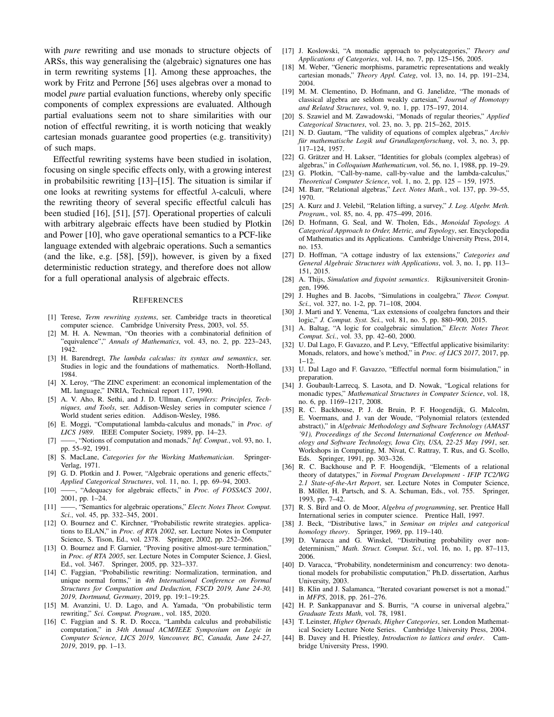with *pure* rewriting and use monads to structure objects of ARSs, this way generalising the (algebraic) signatures one has in term rewriting systems [1]. Among these approaches, the work by Fritz and Perrone [56] uses algebras over a monad to model *pure* partial evaluation functions, whereby only specific components of complex expressions are evaluated. Although partial evaluations seem not to share similarities with our notion of effectful rewriting, it is worth noticing that weakly cartesian monads guarantee good properties (e.g. transitivity) of such maps.

Effectful rewriting systems have been studied in isolation, focusing on single specific effects only, with a growing interest in probabilsitic rewriting [13]–[15]. The situation is similar if one looks at rewriting systems for effectful  $\lambda$ -calculi, where the rewriting theory of several specific effectful calculi has been studied [16], [51], [57]. Operational properties of calculi with arbitrary algebraic effects have been studied by Plotkin and Power [10], who gave operational semantics to a PCF-like language extended with algebraic operations. Such a semantics (and the like, e.g. [58], [59]), however, is given by a fixed deterministic reduction strategy, and therefore does not allow for a full operational analysis of algebraic effects.

#### **REFERENCES**

- [1] Terese, *Term rewriting systems*, ser. Cambridge tracts in theoretical computer science. Cambridge University Press, 2003, vol. 55.
- [2] M. H. A. Newman, "On theories with a combinatorial definition of "equivalence"," *Annals of Mathematics*, vol. 43, no. 2, pp. 223–243, 1942.
- [3] H. Barendregt, *The lambda calculus: its syntax and semantics*, ser. Studies in logic and the foundations of mathematics. North-Holland, 1984.
- [4] X. Leroy, "The ZINC experiment: an economical implementation of the ML language," INRIA, Technical report 117, 1990.
- [5] A. V. Aho, R. Sethi, and J. D. Ullman, *Compilers: Principles, Techniques, and Tools*, ser. Addison-Wesley series in computer science / World student series edition. Addison-Wesley, 1986.
- [6] E. Moggi, "Computational lambda-calculus and monads," in *Proc. of LICS 1989*. IEEE Computer Society, 1989, pp. 14–23.
- [7] ——, "Notions of computation and monads," *Inf. Comput.*, vol. 93, no. 1, pp. 55–92, 1991.
- [8] S. MacLane, *Categories for the Working Mathematician*. Springer-Verlag, 1971.
- [9] G. D. Plotkin and J. Power, "Algebraic operations and generic effects," *Applied Categorical Structures*, vol. 11, no. 1, pp. 69–94, 2003.
- [10] ——, "Adequacy for algebraic effects," in *Proc. of FOSSACS 2001*, 2001, pp. 1–24.
- [11] ——, "Semantics for algebraic operations," *Electr. Notes Theor. Comput. Sci.*, vol. 45, pp. 332–345, 2001.
- [12] O. Bournez and C. Kirchner, "Probabilistic rewrite strategies. applications to ELAN," in *Proc. of RTA 2002*, ser. Lecture Notes in Computer Science, S. Tison, Ed., vol. 2378. Springer, 2002, pp. 252–266.
- [13] O. Bournez and F. Garnier, "Proving positive almost-sure termination," in *Proc. of RTA 2005*, ser. Lecture Notes in Computer Science, J. Giesl, Ed., vol. 3467. Springer, 2005, pp. 323–337.
- [14] C. Faggian, "Probabilistic rewriting: Normalization, termination, and unique normal forms," in *4th International Conference on Formal Structures for Computation and Deduction, FSCD 2019, June 24-30, 2019, Dortmund, Germany*, 2019, pp. 19:1–19:25.
- [15] M. Avanzini, U. D. Lago, and A. Yamada, "On probabilistic term rewriting," *Sci. Comput. Program.*, vol. 185, 2020.
- [16] C. Faggian and S. R. D. Rocca, "Lambda calculus and probabilistic computation," in *34th Annual ACM/IEEE Symposium on Logic in Computer Science, LICS 2019, Vancouver, BC, Canada, June 24-27, 2019*, 2019, pp. 1–13.
- [17] J. Koslowski, "A monadic approach to polycategories," *Theory and Applications of Categories*, vol. 14, no. 7, pp. 125–156, 2005.
- [18] M. Weber, "Generic morphisms, parametric representations and weakly cartesian monads," *Theory Appl. Categ*, vol. 13, no. 14, pp. 191–234, 2004.
- [19] M. M. Clementino, D. Hofmann, and G. Janelidze, "The monads of classical algebra are seldom weakly cartesian," *Journal of Homotopy and Related Structures*, vol. 9, no. 1, pp. 175–197, 2014.
- [20] S. Szawiel and M. Zawadowski, "Monads of regular theories," *Applied Categorical Structures*, vol. 23, no. 3, pp. 215–262, 2015.
- [21] N. D. Gautam, "The validity of equations of complex algebras," *Archiv für mathematische Logik und Grundlagenforschung*, vol. 3, no. 3, pp. 117–124, 1957.
- [22] G. Grätzer and H. Lakser, "Identities for globals (complex algebras) of algebras," in *Colloquium Mathematicum*, vol. 56, no. 1, 1988, pp. 19–29.
- [23] G. Plotkin, "Call-by-name, call-by-value and the lambda-calculus," *Theoretical Computer Science*, vol. 1, no. 2, pp. 125 – 159, 1975.
- [24] M. Barr, "Relational algebras," *Lect. Notes Math.*, vol. 137, pp. 39–55, 1970.
- [25] A. Kurz and J. Velebil, "Relation lifting, a survey," *J. Log. Algebr. Meth. Program.*, vol. 85, no. 4, pp. 475–499, 2016.
- [26] D. Hofmann, G. Seal, and W. Tholen, Eds., *Monoidal Topology. A Categorical Approach to Order, Metric, and Topology*, ser. Encyclopedia of Mathematics and its Applications. Cambridge University Press, 2014, no. 153.
- [27] D. Hoffman, "A cottage industry of lax extensions," *Categories and General Algebraic Structures with Applications*, vol. 3, no. 1, pp. 113– 151, 2015.
- [28] A. Thijs, *Simulation and fixpoint semantics*. Rijksuniversiteit Groningen, 1996.
- [29] J. Hughes and B. Jacobs, "Simulations in coalgebra," *Theor. Comput. Sci.*, vol. 327, no. 1-2, pp. 71–108, 2004.
- [30] J. Marti and Y. Venema, "Lax extensions of coalgebra functors and their logic," *J. Comput. Syst. Sci.*, vol. 81, no. 5, pp. 880–900, 2015.
- [31] A. Baltag, "A logic for coalgebraic simulation," *Electr. Notes Theor. Comput. Sci.*, vol. 33, pp. 42–60, 2000.
- [32] U. Dal Lago, F. Gavazzo, and P. Levy, "Effectful applicative bisimilarity: Monads, relators, and howe's method," in *Proc. of LICS 2017*, 2017, pp. 1–12.
- [33] U. Dal Lago and F. Gavazzo, "Effectful normal form bisimulation," in preparation.
- [34] J. Goubault-Larrecq, S. Lasota, and D. Nowak, "Logical relations for monadic types," *Mathematical Structures in Computer Science*, vol. 18, no. 6, pp. 1169–1217, 2008.
- [35] R. C. Backhouse, P. J. de Bruin, P. F. Hoogendijk, G. Malcolm, E. Voermans, and J. van der Woude, "Polynomial relators (extended abstract)," in *Algebraic Methodology and Software Technology (AMAST '91), Proceedings of the Second International Conference on Methodology and Software Technology, Iowa City, USA, 22-25 May 1991*, ser. Workshops in Computing, M. Nivat, C. Rattray, T. Rus, and G. Scollo, Eds. Springer, 1991, pp. 303–326.
- [36] R. C. Backhouse and P. F. Hoogendijk, "Elements of a relational theory of datatypes," in *Formal Program Development - IFIP TC2/WG 2.1 State-of-the-Art Report*, ser. Lecture Notes in Computer Science, B. Möller, H. Partsch, and S. A. Schuman, Eds., vol. 755. Springer, 1993, pp. 7–42.
- [37] R. S. Bird and O. de Moor, *Algebra of programming*, ser. Prentice Hall International series in computer science. Prentice Hall, 1997.
- [38] J. Beck, "Distributive laws," in *Seminar on triples and categorical homology theory*. Springer, 1969, pp. 119–140.
- [39] D. Varacca and G. Winskel, "Distributing probability over nondeterminism," *Math. Struct. Comput. Sci.*, vol. 16, no. 1, pp. 87–113, 2006.
- [40] D. Varacca, "Probability, nondeterminism and concurrency: two denotational models for probabilistic computation," Ph.D. dissertation, Aarhus University, 2003.
- [41] B. Klin and J. Salamanca, "Iterated covariant powerset is not a monad." in *MFPS*, 2018, pp. 261–276.
- [42] H. P. Sankappanavar and S. Burris, "A course in universal algebra," *Graduate Texts Math*, vol. 78, 1981.
- [43] T. Leinster, *Higher Operads, Higher Categories*, ser. London Mathematical Society Lecture Note Series. Cambridge University Press, 2004.
- [44] B. Davey and H. Priestley, *Introduction to lattices and order*. Cambridge University Press, 1990.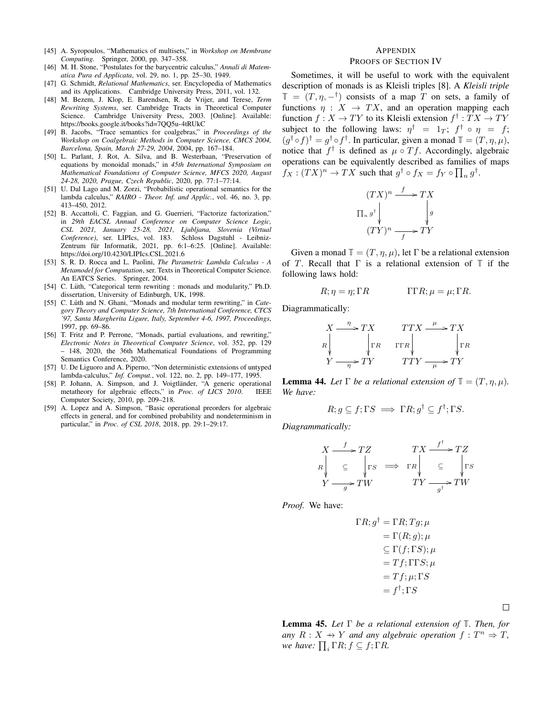- [45] A. Syropoulos, "Mathematics of multisets," in *Workshop on Membrane Computing*. Springer, 2000, pp. 347–358.
- [46] M. H. Stone, "Postulates for the barycentric calculus," *Annali di Matematica Pura ed Applicata*, vol. 29, no. 1, pp. 25–30, 1949.
- [47] G. Schmidt, *Relational Mathematics*, ser. Encyclopedia of Mathematics and its Applications. Cambridge University Press, 2011, vol. 132.
- [48] M. Bezem, J. Klop, E. Barendsen, R. de Vrijer, and Terese, *Term Rewriting Systems*, ser. Cambridge Tracts in Theoretical Computer Science. Cambridge University Press, 2003. [Online]. Available: https://books.google.it/books?id=7QQ5u-4tRUkC
- [49] B. Jacobs, "Trace semantics for coalgebras," in *Proceedings of the Workshop on Coalgebraic Methods in Computer Science, CMCS 2004, Barcelona, Spain, March 27-29, 2004*, 2004, pp. 167–184.
- [50] L. Parlant, J. Rot, A. Silva, and B. Westerbaan, "Preservation of equations by monoidal monads," in *45th International Symposium on Mathematical Foundations of Computer Science, MFCS 2020, August 24-28, 2020, Prague, Czech Republic*, 2020, pp. 77:1–77:14.
- [51] U. Dal Lago and M. Zorzi, "Probabilistic operational semantics for the lambda calculus," *RAIRO - Theor. Inf. and Applic.*, vol. 46, no. 3, pp. 413–450, 2012.
- [52] B. Accattoli, C. Faggian, and G. Guerrieri, "Factorize factorization," in *29th EACSL Annual Conference on Computer Science Logic, CSL 2021, January 25-28, 2021, Ljubljana, Slovenia (Virtual Conference)*, ser. LIPIcs, vol. 183. Schloss Dagstuhl - Leibniz-Zentrum für Informatik, 2021, pp. 6:1-6:25. [Online]. Available: https://doi.org/10.4230/LIPIcs.CSL.2021.6
- [53] S. R. D. Rocca and L. Paolini, *The Parametric Lambda Calculus A Metamodel for Computation*, ser. Texts in Theoretical Computer Science. An EATCS Series. Springer, 2004.
- [54] C. Lüth, "Categorical term rewriting : monads and modularity," Ph.D. dissertation, University of Edinburgh, UK, 1998.
- [55] C. Lüth and N. Ghani, "Monads and modular term rewriting," in Cate*gory Theory and Computer Science, 7th International Conference, CTCS '97, Santa Margherita Ligure, Italy, September 4-6, 1997, Proceedings*, 1997, pp. 69–86.
- [56] T. Fritz and P. Perrone, "Monads, partial evaluations, and rewriting," *Electronic Notes in Theoretical Computer Science*, vol. 352, pp. 129 – 148, 2020, the 36th Mathematical Foundations of Programming Semantics Conference, 2020.
- [57] U. De Liguoro and A. Piperno, "Non deterministic extensions of untyped lambda-calculus," *Inf. Comput.*, vol. 122, no. 2, pp. 149–177, 1995.
- [58] P. Johann, A. Simpson, and J. Voigtländer, "A generic operational metatheory for algebraic effects." in *Proc. of LICS* 2010. IEEE metatheory for algebraic effects," in *Proc. of LICS 2010*. Computer Society, 2010, pp. 209–218.
- [59] A. Lopez and A. Simpson, "Basic operational preorders for algebraic effects in general, and for combined probability and nondeterminism in particular," in *Proc. of CSL 2018*, 2018, pp. 29:1–29:17.

#### APPENDIX PROOFS OF SECTION IV

Sometimes, it will be useful to work with the equivalent description of monads is as Kleisli triples [8]. A *Kleisli triple*  $\mathbb{T} = (T, \eta, -^{\dagger})$  consists of a map T on sets, a family of functions  $\eta : X \to TX$ , and an operation mapping each function  $f: X \to TY$  to its Kleisli extension  $f^{\dagger}: TX \to TY$ subject to the following laws:  $\eta^{\dagger} = 1_T$ ;  $f^{\dagger} \circ \eta = f$ ;  $(g^{\dagger} \circ f)^{\dagger} = g^{\dagger} \circ f^{\dagger}$ . In particular, given a monad  $\mathbb{T} = (T, \eta, \mu)$ , notice that  $f^{\dagger}$  is defined as  $\mu \circ Tf$ . Accordingly, algebraic operations can be equivalently described as families of maps  $f_X: (TX)^n \to TX$  such that  $g^{\dagger} \circ f_X = f_Y \circ \prod_n g^{\dagger}$ .

$$
(TX)^n \xrightarrow{f} TX
$$

$$
\Pi_n g^{\dagger} \downarrow \qquad \qquad g
$$

$$
(TY)^n \xrightarrow{f} TY
$$

Given a monad  $\mathbb{T} = (T, \eta, \mu)$ , let  $\Gamma$  be a relational extension of T. Recall that Γ is a relational extension of **T** if the following laws hold:

$$
R; \eta = \eta; \Gamma R \qquad \qquad \Gamma \Gamma R; \mu = \mu; \Gamma R.
$$

Diagrammatically:

$$
X \xrightarrow{\eta} TX \qquad TTX \xrightarrow{\mu} TX
$$
  
\n
$$
R \downarrow \qquad \qquad \downarrow \Gamma R \qquad \text{Tr}R \downarrow \qquad \qquad \downarrow \Gamma R
$$
  
\n
$$
Y \xrightarrow{\eta} TY \qquad TTY \xrightarrow{\mu} TY
$$

**Lemma 44.** Let  $\Gamma$  be a relational extension of  $\mathbb{T} = (T, \eta, \mu)$ . *We have:*

$$
R; g \subseteq f; \Gamma S \implies \Gamma R; g^{\dagger} \subseteq f^{\dagger}; \Gamma S.
$$

*Diagrammatically:*

$$
X \xrightarrow{f} TZ
$$
\n
$$
R \downarrow \subseteq \qquad \qquad TX \xrightarrow{f^{\dagger}} TZ
$$
\n
$$
\downarrow \qquad \qquad TX \xrightarrow{f^{\dagger}} TZ
$$
\n
$$
\downarrow \qquad \qquad \downarrow \qquad \qquad TX \xrightarrow{f^{\dagger}} TX
$$
\n
$$
\downarrow \qquad \qquad \downarrow \qquad \downarrow \qquad \downarrow \qquad \downarrow \qquad \downarrow \qquad \downarrow \qquad \downarrow \qquad \downarrow \qquad \downarrow \qquad \downarrow \qquad \downarrow \qquad \downarrow \qquad \downarrow \qquad \downarrow \qquad \downarrow \qquad \downarrow \qquad \downarrow \qquad \downarrow \qquad \downarrow \qquad \downarrow \qquad \downarrow \qquad \downarrow \qquad \downarrow \qquad \downarrow \qquad \downarrow \qquad \downarrow \qquad \downarrow \qquad \downarrow \qquad \downarrow \qquad \downarrow \qquad \downarrow \qquad \downarrow \qquad \downarrow \qquad \downarrow \qquad \downarrow \qquad \downarrow \qquad \downarrow \qquad \downarrow \qquad \downarrow \qquad \downarrow \qquad \downarrow \qquad \downarrow \qquad \downarrow \qquad \downarrow \qquad \downarrow \qquad \downarrow \qquad \downarrow \qquad \downarrow \qquad \downarrow \qquad \downarrow \qquad \downarrow \qquad \downarrow \qquad \downarrow \qquad \downarrow \qquad \downarrow \qquad \downarrow \qquad \downarrow \qquad \downarrow \qquad \downarrow \qquad \downarrow \qquad \downarrow \qquad \downarrow \qquad \downarrow \qquad \downarrow \qquad \downarrow \qquad \downarrow \qquad \downarrow \qquad \downarrow \qquad \downarrow \qquad \downarrow \qquad \downarrow \qquad \downarrow \qquad \downarrow \qquad \downarrow \qquad \downarrow \qquad \downarrow \qquad \downarrow \qquad \downarrow \qquad \downarrow \qquad \downarrow \qquad \downarrow \qquad \downarrow \qquad \downarrow \qquad \downarrow \qquad \downarrow \qquad \downarrow \qquad \downarrow \qquad \downarrow \qquad \downarrow \qquad \downarrow \qquad \downarrow \qquad \downarrow \qquad \downarrow \qquad \downarrow \qquad \downarrow \qquad \downarrow \qquad \downarrow \qquad \downarrow \qquad \downarrow \qquad \downarrow \qquad \downarrow \qquad \downarrow \qquad \downarrow \qquad \downarrow \qquad \downarrow \qquad
$$

*Proof.* We have:

$$
\Gamma R; g^{\dagger} = \Gamma R; Tg; \mu
$$
  
=  $\Gamma(R; g); \mu$   

$$
\subseteq \Gamma(f; \Gamma S); \mu
$$
  
=  $Tf; \Gamma \Gamma S; \mu$   
=  $Tf; \mu; \Gamma S$   
=  $f^{\dagger}; \Gamma S$ 

 $\Box$ 

Lemma 45. *Let* Γ *be a relational extension of* **T***. Then, for any*  $R: X \rightarrow Y$  *and any algebraic operation*  $f: T^n \Rightarrow T$ *, we have:*  $\prod_i \Gamma R$ ;  $f \subseteq f$ ;  $\Gamma R$ .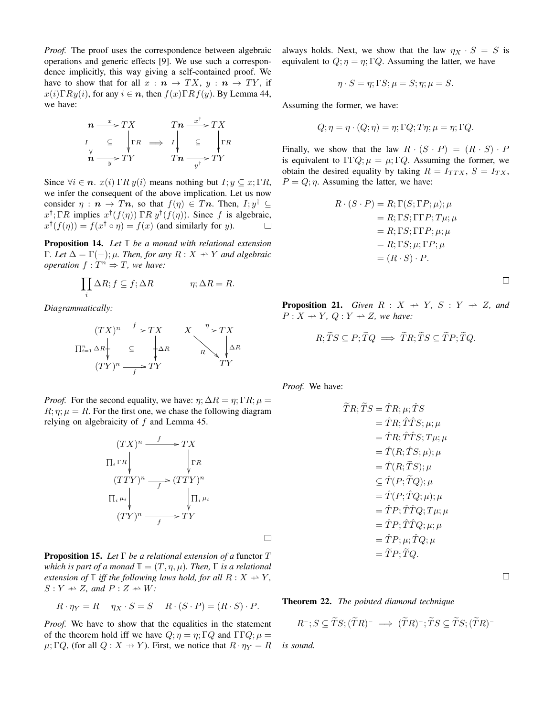*Proof.* The proof uses the correspondence between algebraic operations and generic effects [9]. We use such a correspondence implicitly, this way giving a self-contained proof. We have to show that for all  $x : n \to TX$ ,  $y : n \to TY$ , if  $x(i) \Gamma R y(i)$ , for any  $i \in n$ , then  $f(x) \Gamma R f(y)$ . By Lemma 44, we have:

$$
\begin{array}{ccc}\nn & \xrightarrow{x} & TX & Tn & \xrightarrow{x^{\dagger}} & TX \\
I \downarrow & \subseteq & \downarrow \Gamma R & \implies & I \downarrow & \subseteq & \downarrow \Gamma R \\
n & \xrightarrow{y} & TY & Tn & \xrightarrow{y^{\dagger}} & TY\n\end{array}
$$

Since  $\forall i \in \mathbf{n}$ .  $x(i)$   $\Gamma R y(i)$  means nothing but  $I; y \subseteq x; \Gamma R$ , we infer the consequent of the above implication. Let us now consider  $\eta : \mathbf{n} \to T\mathbf{n}$ , so that  $f(\eta) \in T\mathbf{n}$ . Then,  $I; y^{\dagger} \subseteq$  $x^{\dagger}$ ; ΓR implies  $x^{\dagger}(f(\eta))$  ΓR  $y^{\dagger}(f(\eta))$ . Since f is algebraic,  $x^{\dagger}(f(\eta)) = f(x^{\dagger} \circ \eta) = f(x)$  (and similarly for y).  $\Box$ 

Proposition 14. *Let* **T** *be a monad with relational extension* Γ*. Let*  $Δ = Γ(−)$ ; μ*. Then, for any*  $R : X → Y$  *and algebraic operation*  $f: T^n \Rightarrow T$ *, we have:* 

$$
\prod_i \Delta R; f \subseteq f; \Delta R \qquad \eta; \Delta R = R.
$$

*Diagrammatically:*

$$
(TX)^n \xrightarrow{f} TX \qquad X \xrightarrow{\eta} TX
$$
  
\n
$$
\Pi_{i=1}^n \Delta R \downarrow \subseteq \qquad \downarrow \Delta R
$$
  
\n
$$
(TY)^n \xrightarrow{f} TY
$$
  
\n
$$
TY
$$

*Proof.* For the second equality, we have:  $\eta$ ;  $\Delta R = \eta$ ;  $\Gamma R$ ;  $\mu =$  $R; \eta; \mu = R$ . For the first one, we chase the following diagram relying on algebraicity of  $f$  and Lemma 45.

$$
(TX)^n \xrightarrow{f} TX
$$
  
\n
$$
\Pi_i \Gamma R \downarrow \qquad \qquad \downarrow \Gamma R
$$
  
\n
$$
(TTY)^n \xrightarrow{f} (TTY)^n
$$
  
\n
$$
\Pi_i \mu_i \downarrow \qquad \qquad \downarrow \Pi_i \mu_i
$$
  
\n
$$
(TY)^n \xrightarrow{f} TY
$$

Proposition 15. *Let* Γ *be a relational extension of a* functor T *which is part of a monad*  $\mathbb{T} = (T, \eta, \mu)$ *. Then,*  $\Gamma$  *is a relational extension of*  $\mathbb{T}$  *iff the following laws hold, for all*  $R: X \rightarrow Y$ ,  $S: Y \rightarrow Z$ , and  $P: Z \rightarrow W$ .

$$
R \cdot \eta_Y = R \quad \eta_X \cdot S = S \quad R \cdot (S \cdot P) = (R \cdot S) \cdot P.
$$

*Proof.* We have to show that the equalities in the statement of the theorem hold iff we have  $Q; \eta = \eta; \Gamma Q$  and  $\Gamma \Gamma Q; \mu =$  $\mu$ ; Γ*Q*, (for all *Q* : *X*  $\rightarrow$  *Y*). First, we notice that  $R \cdot \eta_Y = R$  always holds. Next, we show that the law  $\eta_X \cdot S = S$  is equivalent to  $Q; \eta = \eta; \Gamma Q$ . Assuming the latter, we have

$$
\eta \cdot S = \eta; \Gamma S; \mu = S; \eta; \mu = S.
$$

Assuming the former, we have:

$$
Q; \eta = \eta \cdot (Q; \eta) = \eta; \Gamma Q; T\eta; \mu = \eta; \Gamma Q.
$$

Finally, we show that the law  $R \cdot (S \cdot P) = (R \cdot S) \cdot P$ is equivalent to  $\Gamma \Gamma Q$ ;  $\mu = \mu$ ; ΓQ. Assuming the former, we obtain the desired equality by taking  $R = I_{TTX}$ ,  $S = I_{TX}$ ,  $P = Q; \eta$ . Assuming the latter, we have:

$$
R \cdot (S \cdot P) = R; \Gamma(S; \Gamma P; \mu); \mu
$$
  
= R; \Gamma S; \Gamma \Gamma P; T\mu; \mu  
= R; \Gamma S; \Gamma \Gamma P; \mu; \mu  
= R; \Gamma S; \mu; \Gamma P; \mu  
= (R \cdot S) \cdot P.

 $\Box$ 

**Proposition 21.** *Given*  $R : X \rightarrow Y$ ,  $S : Y \rightarrow Z$ , and  $P: X \rightarrow Y, Q: Y \rightarrow Z$ , we have:

$$
R; \widetilde{T}S \subseteq P; \widetilde{T}Q \implies \widetilde{T}R; \widetilde{T}S \subseteq \widetilde{T}P; \widetilde{T}Q.
$$

*Proof.* We have:

$$
\tilde{T}R; \tilde{T}S = \hat{T}R; \mu; \hat{T}S
$$
\n
$$
= \hat{T}R; \hat{T}\hat{T}S; \mu; \mu
$$
\n
$$
= \hat{T}R; \hat{T}\hat{T}S; T\mu; \mu
$$
\n
$$
= \hat{T}(R; \hat{T}S; \mu); \mu
$$
\n
$$
= \hat{T}(R; \tilde{T}S); \mu
$$
\n
$$
\subseteq \hat{T}(P; \tilde{T}Q); \mu
$$
\n
$$
= \hat{T}(P; \hat{T}Q; \mu); \mu
$$
\n
$$
= \hat{T}P; \hat{T}\hat{T}Q; T\mu; \mu
$$
\n
$$
= \hat{T}P; \hat{T}\hat{T}Q; \mu; \mu
$$
\n
$$
= \hat{T}P; \mu; \hat{T}Q; \mu
$$
\n
$$
= \hat{T}P; \tilde{T}Q; \mu
$$

 $\Box$ 

Theorem 22. *The pointed diamond technique*

$$
R^{-}; S \subseteq \widetilde{T}S; (\widetilde{T}R)^{-} \implies (\widetilde{T}R)^{-}; \widetilde{T}S \subseteq \widetilde{T}S; (\widetilde{T}R)^{-}
$$

*is sound.*

 $\Box$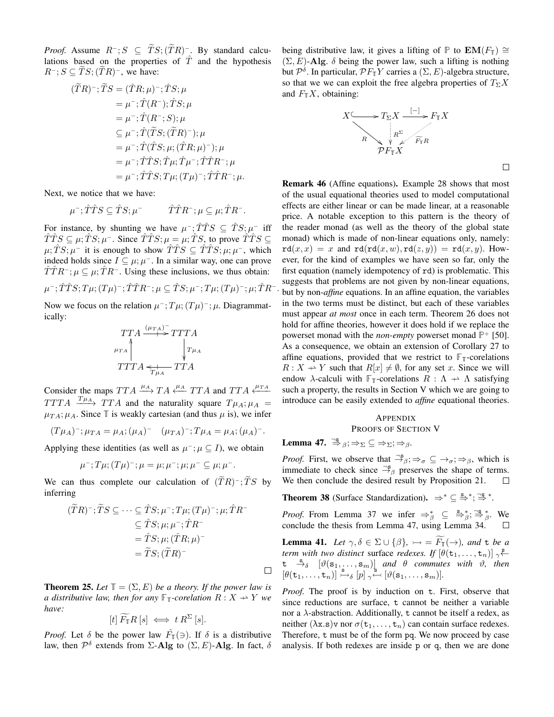*Proof.* Assume  $R^-$ ;  $S \subseteq TS$ ;  $(TR)^-$ . By standard calculations based on the properties of  $\hat{T}$  and the hypothesis  $R^-; S \subseteq TS; (TR)^-$ , we have:

$$
(\widetilde{T}R)^{-}; \widetilde{T}S = (\hat{T}R; \mu)^{-}; \hat{T}S; \mu
$$
  
\n
$$
= \mu^{-}; \hat{T}(R^{-}); \hat{T}S; \mu
$$
  
\n
$$
= \mu^{-}; \hat{T}(R^{-}; S); \mu
$$
  
\n
$$
\subseteq \mu^{-}; \hat{T}(\widetilde{T}S; (\widetilde{T}R)^{-}); \mu
$$
  
\n
$$
= \mu^{-}; \hat{T}(\hat{T}S; \mu; (\hat{T}R; \mu)^{-}); \mu
$$
  
\n
$$
= \mu^{-}; \hat{T}\hat{T}S; \hat{T}\mu; \hat{T}\mu^{-}; \hat{T}\hat{T}R^{-}; \mu
$$
  
\n
$$
= \mu^{-}; \hat{T}\hat{T}S; T\mu; (T\mu)^{-}; \hat{T}\hat{T}R^{-}; \mu.
$$

Next, we notice that we have:  $\mathbf{r}$  Soon  $\mathbf{r}$ 

$$
\mu^-; \hat{T}\hat{T}S \subseteq \hat{T}S; \mu^- \qquad \hat{T}\hat{T}R^-; \mu \subseteq \mu; \hat{T}R^-.
$$

For instance, by shunting we have  $\mu^-$ ;  $\hat{T}\hat{T}S \subseteq \hat{T}S$ ;  $\mu^-$  iff  $\hat{T}\hat{T}S \subseteq \mu; \hat{T}S; \mu$ <sup>-</sup>. Since  $\hat{T}\hat{T}S; \mu = \mu; \hat{T}S$ , to prove  $\hat{T}\hat{T}S \subseteq$  $\mu$ ;  $\hat{T}S$ ;  $\mu^-$  it is enough to show  $\hat{T}\hat{T}S \subseteq \hat{T}\hat{T}S$ ;  $\mu$ ;  $\mu^-$ , which indeed holds since  $I \subseteq \mu$ ;  $\mu$ <sup>-</sup>. In a similar way, one can prove  $\hat{T} \hat{T} R^{-}$ ;  $\mu \subseteq \mu$ ;  $\hat{T} R^{-}$ . Using these inclusions, we thus obtain:

 $\mu^-; \hat{T}\hat{T}S; T\mu; (T\mu)^-; \hat{T}\hat{T}R^-; \mu \subseteq \hat{T}S; \mu^-; T\mu; (T\mu)^-; \mu; \hat{T}R^- .$ 

Now we focus on the relation  $\mu^{-}$ ;  $T\mu$ ;  $(T\mu)^{-}$ ;  $\mu$ . Diagrammatically:

$$
\begin{array}{c}\nTTA \xrightarrow{(\mu_{TA})^-} TTTA \\
\downarrow^{\mu_{TA}} \uparrow^{\mu_{TA}} \downarrow^{\mu_{AA}} \\
TTTA \xleftarrow{\star}^{\mu_{TA}} TTA\n\end{array}
$$

Consider the maps  $TTA \xrightarrow{\mu_A} TA \xleftarrow{\mu_A} TTA$  and  $TTA \xleftarrow{\mu_{TA}}$  $TTTA \xrightarrow{T\mu_A} TTA$  and the naturality square  $T\mu_A$ ;  $\mu_A$  $\mu_{TA}$ ;  $\mu_A$ . Since  $\mathbb T$  is weakly cartesian (and thus  $\mu$  is), we infer

$$
(T\mu_A)^{-}; \mu_{TA} = \mu_A; (\mu_A)^{-} \quad (\mu_{TA})^{-}; T\mu_A = \mu_A; (\mu_A)^{-}.
$$

Applying these identities (as well as  $\mu^{-}$ ;  $\mu \subseteq I$ ), we obtain

$$
\mu^{-}; T\mu; (T\mu)^{-}; \mu = \mu; \mu^{-}; \mu; \mu^{-} \subseteq \mu; \mu^{-}.
$$

We can thus complete our calculation of  $(TR)^{-}$ ; TS by inferring

$$
(\widetilde{T}R)^{-}; \widetilde{T}S \subseteq \cdots \subseteq \widehat{T}S; \mu^{-}; T\mu; (T\mu)^{-}; \mu; \widehat{T}R^{-}
$$
  

$$
\subseteq \widehat{T}S; \mu; \mu^{-}; \widehat{T}R^{-}
$$
  

$$
= \widehat{T}S; \mu; (\widehat{T}R; \mu)^{-}
$$
  

$$
= \widetilde{T}S; (\widetilde{T}R)^{-}
$$

**Theorem 25.** Let  $\mathbb{T} = (\Sigma, E)$  be a theory. If the power law is *a distributive law, then for any*  $\mathbb{F}_T$ *-corelation*  $R: X \rightarrow Y$  *we have:*

$$
[t]\widetilde{F}_{\mathbb{T}}R\left[s\right] \iff t R^{\Sigma}\left[s\right].
$$

*Proof.* Let  $\delta$  be the power law  $\hat{F}_{\mathbb{I}}(\ni)$ . If  $\delta$  is a distributive law, then  $\mathcal{P}^{\delta}$  extends from  $\Sigma$ -Alg to  $(\Sigma, E)$ -Alg. In fact,  $\delta$ 

being distributive law, it gives a lifting of **P** to **EM**( $F$ <sup>T</sup>) ≅  $(\Sigma, E)$ -Alg.  $\delta$  being the power law, such a lifting is nothing but  $\mathcal{P}^{\delta}$ . In particular,  $\mathcal{P}F_{\mathbb{T}}Y$  carries a  $(\Sigma, E)$ -algebra structure, so that we we can exploit the free algebra properties of  $T_{\Sigma}X$ and  $F_{\mathbb{T}}X$ , obtaining:



 $\Box$ 

Remark 46 (Affine equations). Example 28 shows that most of the usual equational theories used to model computational effects are either linear or can be made linear, at a reasonable price. A notable exception to this pattern is the theory of the reader monad (as well as the theory of the global state monad) which is made of non-linear equations only, namely:  $rd(x, x) = x$  and  $rd(rd(x, w), rd(z, y)) = rd(x, y)$ . However, for the kind of examples we have seen so far, only the first equation (namely idempotency of rd) is problematic. This suggests that problems are not given by non-linear equations, but by non-*affine* equations. In an affine equation, the variables in the two terms must be distinct, but each of these variables must appear *at most* once in each term. Theorem 26 does not hold for affine theories, however it does hold if we replace the powerset monad with the *non-empty* powerset monad **P** <sup>+</sup> [50]. As a consequence, we obtain an extension of Corollary 27 to affine equations, provided that we restrict to  $\mathbb{F}_{\mathbb{T}}$ -corelations  $R: X \to Y$  such that  $R[x] \neq \emptyset$ , for any set x. Since we will endow  $\lambda$ -calculi with  $\mathbb{F}_{\mathbb{T}}$ -corelations  $R : \Lambda \to \Lambda$  satisfying such a property, the results in Section V which we are going to introduce can be easily extended to *affine* equational theories.

## **APPENDIX** PROOFS OF SECTION V

Lemma 47.  $\stackrel{\neg s}{\Rightarrow}{}_{\beta}; \Rightarrow_{\Sigma} \subseteq \Rightarrow_{\Sigma}; \Rightarrow_{\beta}$ .

 $\Box$ 

*Proof.* First, we observe that  $\exists^s_{\beta}$ ;  $\Rightarrow_{\sigma} \subseteq \rightarrow_{\sigma}$ ;  $\Rightarrow_{\beta}$ , which is immediate to check since  $\frac{3}{2}$  preserves the shape of terms. We then conclude the desired result by Proposition 21.  $\Box$ 

**Theorem 38** (Surface Standardization).  $\Rightarrow^* \subseteq \frac{s}{2}^*$ ;  $\Rightarrow^* \Rightarrow^*$ .

*Proof.* From Lemma 37 we infer  $\Rightarrow_{\beta}^* \subseteq \frac{s}{\beta}$ ;  $\Rightarrow_{\beta}^*$ ;  $\Rightarrow_{\beta}^*$ . We conclude the thesis from Lemma 47, using Lemma 34.

**Lemma 41.** Let  $\gamma, \delta \in \Sigma \cup \{\beta\}, \rightarrowtail = \overline{F_{\mathbb{I}}}(\rightarrow)$ , and t be a *term with two distinct surface redexes. If*  $[\theta(\mathbf{t}_1, \dots, \mathbf{t}_n)]$   $\sim$ <sup>5</sup>  $t \stackrel{s}{\rightarrow}_{\delta}$   $[\vartheta(s_1, \ldots, s_m)]$  *and*  $\theta$  *commutes with*  $\vartheta$ , *then*  $[\theta(\mathbf{t}_1, \dots, \mathbf{t}_n)] \overset{\mathbf{s}}{\rightarrow} \delta [p] \underset{\gamma}{\sim} [\theta(\mathbf{s}_1, \dots, \mathbf{s}_m)].$ 

*Proof.* The proof is by induction on t. First, observe that since reductions are surface, t cannot be neither a variable nor a  $\lambda$ -abstraction. Additionally, t cannot be itself a redex, as neither  $(\lambda x.\mathbf{s})\mathbf{v}$  nor  $\sigma(\mathbf{t}_1,\ldots,\mathbf{t}_n)$  can contain surface redexes. Therefore, t must be of the form pq. We now proceed by case analysis. If both redexes are inside p or q, then we are done